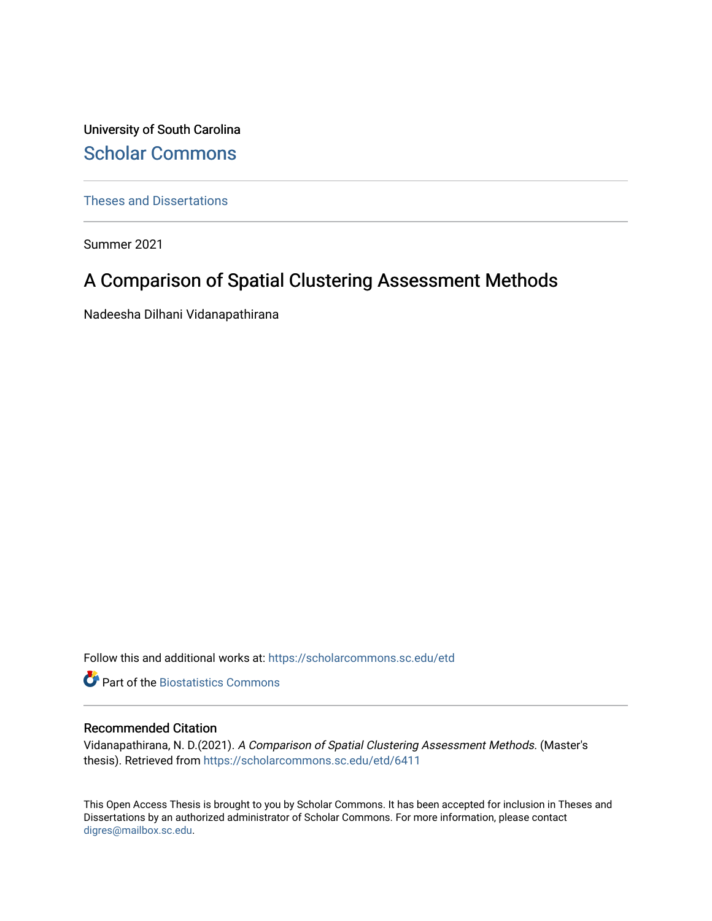University of South Carolina [Scholar Commons](https://scholarcommons.sc.edu/) 

[Theses and Dissertations](https://scholarcommons.sc.edu/etd)

Summer 2021

# A Comparison of Spatial Clustering Assessment Methods

Nadeesha Dilhani Vidanapathirana

Follow this and additional works at: [https://scholarcommons.sc.edu/etd](https://scholarcommons.sc.edu/etd?utm_source=scholarcommons.sc.edu%2Fetd%2F6411&utm_medium=PDF&utm_campaign=PDFCoverPages)

**Part of the Biostatistics Commons** 

#### Recommended Citation

Vidanapathirana, N. D.(2021). A Comparison of Spatial Clustering Assessment Methods. (Master's thesis). Retrieved from [https://scholarcommons.sc.edu/etd/6411](https://scholarcommons.sc.edu/etd/6411?utm_source=scholarcommons.sc.edu%2Fetd%2F6411&utm_medium=PDF&utm_campaign=PDFCoverPages) 

This Open Access Thesis is brought to you by Scholar Commons. It has been accepted for inclusion in Theses and Dissertations by an authorized administrator of Scholar Commons. For more information, please contact [digres@mailbox.sc.edu](mailto:digres@mailbox.sc.edu).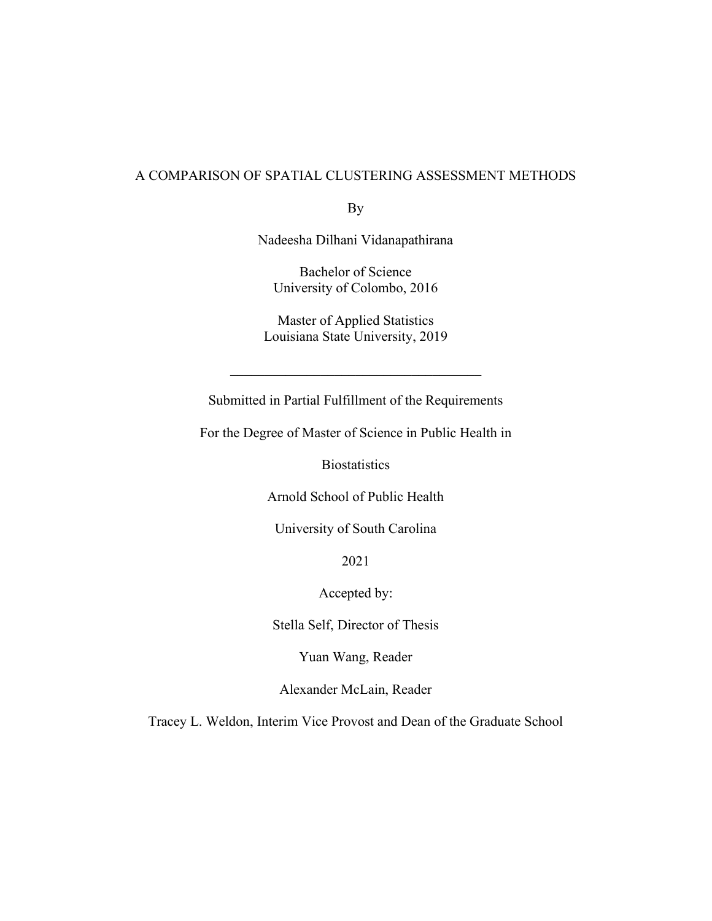### A COMPARISON OF SPATIAL CLUSTERING ASSESSMENT METHODS

By

Nadeesha Dilhani Vidanapathirana

Bachelor of Science University of Colombo, 2016

Master of Applied Statistics Louisiana State University, 2019

Submitted in Partial Fulfillment of the Requirements

For the Degree of Master of Science in Public Health in

**Biostatistics** 

Arnold School of Public Health

University of South Carolina

2021

Accepted by:

Stella Self, Director of Thesis

Yuan Wang, Reader

Alexander McLain, Reader

Tracey L. Weldon, Interim Vice Provost and Dean of the Graduate School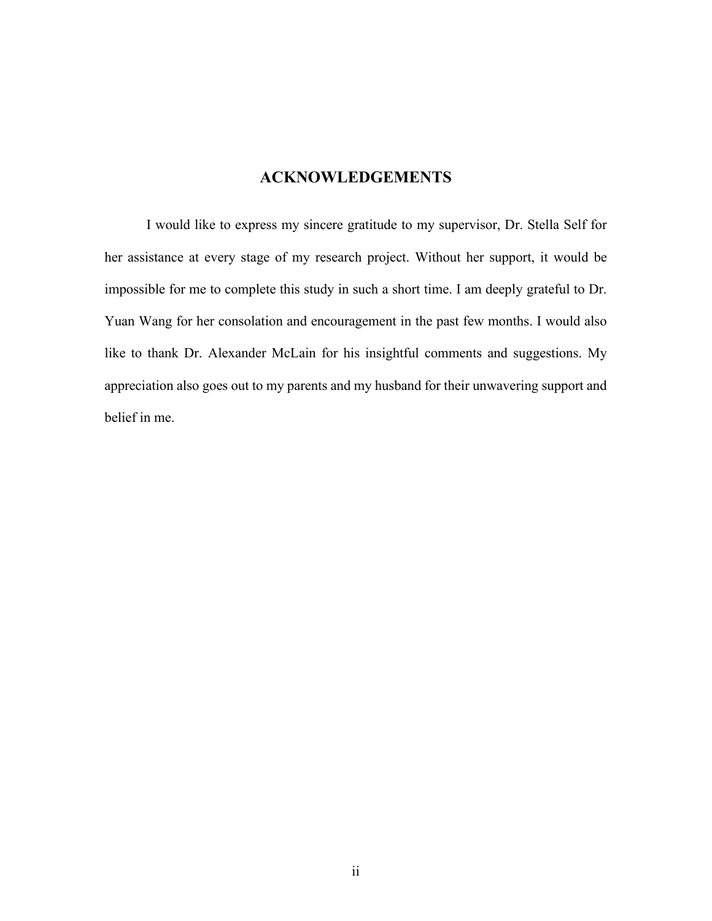## **ACKNOWLEDGEMENTS**

I would like to express my sincere gratitude to my supervisor, Dr. Stella Self for her assistance at every stage of my research project. Without her support, it would be impossible for me to complete this study in such a short time. I am deeply grateful to Dr. Yuan Wang for her consolation and encouragement in the past few months. I would also like to thank Dr. Alexander McLain for his insightful comments and suggestions. My appreciation also goes out to my parents and my husband for their unwavering support and belief in me.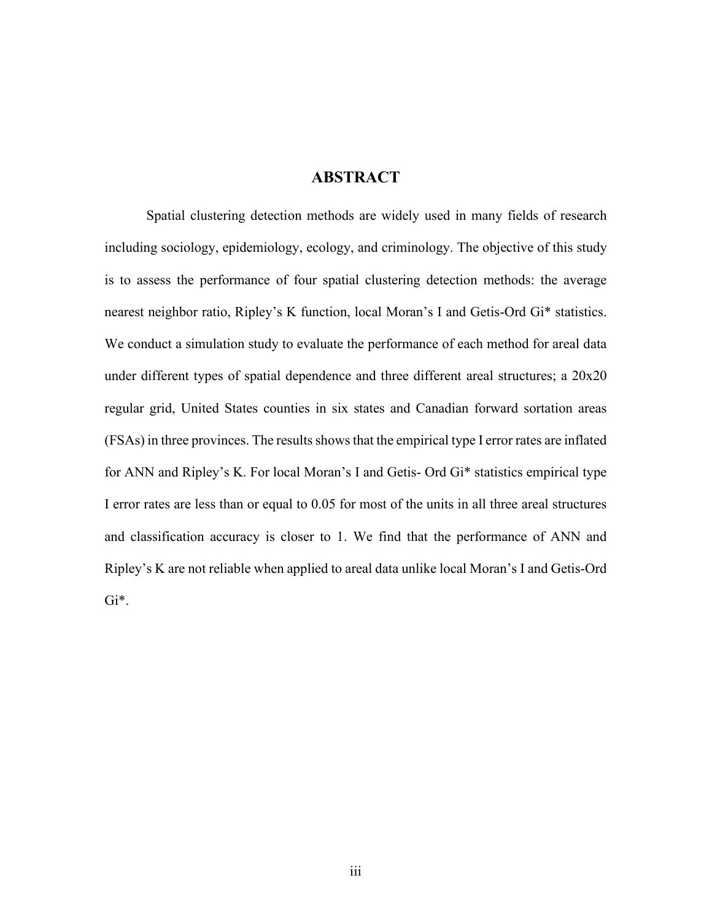## **ABSTRACT**

Spatial clustering detection methods are widely used in many fields of research including sociology, epidemiology, ecology, and criminology. The objective of this study is to assess the performance of four spatial clustering detection methods: the average nearest neighbor ratio, Ripley's K function, local Moran's I and Getis-Ord Gi\* statistics. We conduct a simulation study to evaluate the performance of each method for areal data under different types of spatial dependence and three different areal structures; a 20x20 regular grid, United States counties in six states and Canadian forward sortation areas (FSAs) in three provinces. The results shows that the empirical type I error rates are inflated for ANN and Ripley's K. For local Moran's I and Getis- Ord Gi\* statistics empirical type I error rates are less than or equal to 0.05 for most of the units in all three areal structures and classification accuracy is closer to 1. We find that the performance of ANN and Ripley's K are not reliable when applied to areal data unlike local Moran's I and Getis-Ord Gi\*.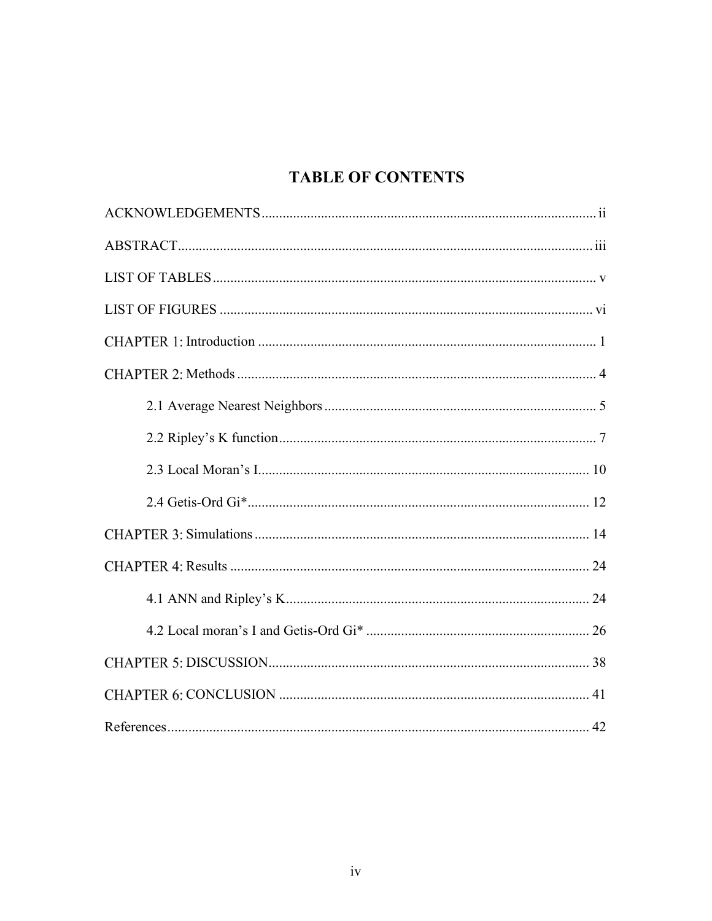# **TABLE OF CONTENTS**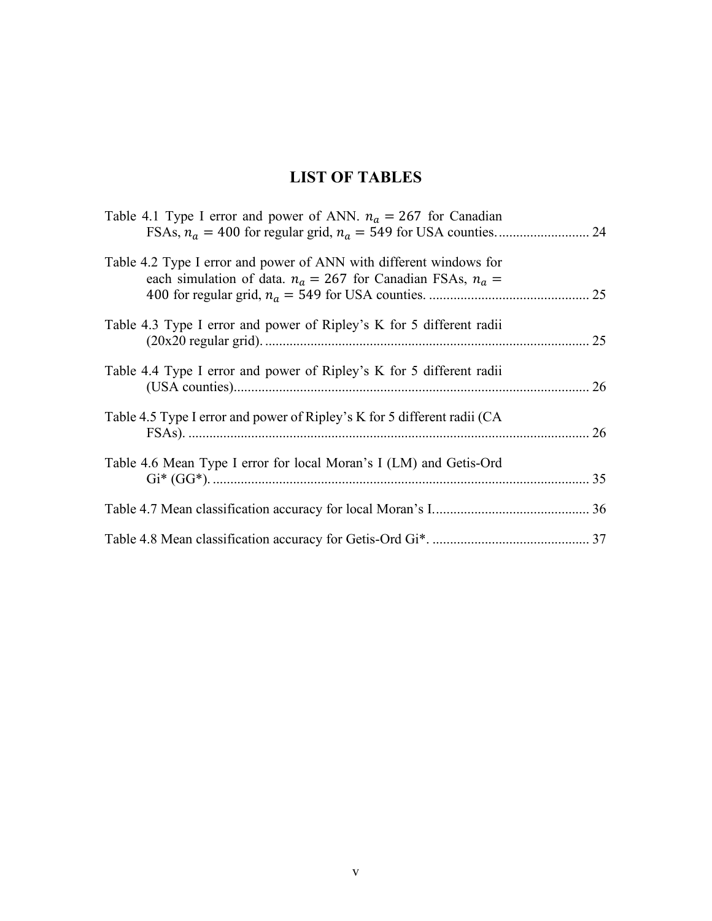# **LIST OF TABLES**

| Table 4.1 Type I error and power of ANN. $n_a = 267$ for Canadian                                                                     |  |
|---------------------------------------------------------------------------------------------------------------------------------------|--|
| Table 4.2 Type I error and power of ANN with different windows for<br>each simulation of data. $n_a = 267$ for Canadian FSAs, $n_a =$ |  |
| Table 4.3 Type I error and power of Ripley's K for 5 different radii                                                                  |  |
| Table 4.4 Type I error and power of Ripley's K for 5 different radii                                                                  |  |
| Table 4.5 Type I error and power of Ripley's K for 5 different radii (CA                                                              |  |
| Table 4.6 Mean Type I error for local Moran's I (LM) and Getis-Ord                                                                    |  |
|                                                                                                                                       |  |
|                                                                                                                                       |  |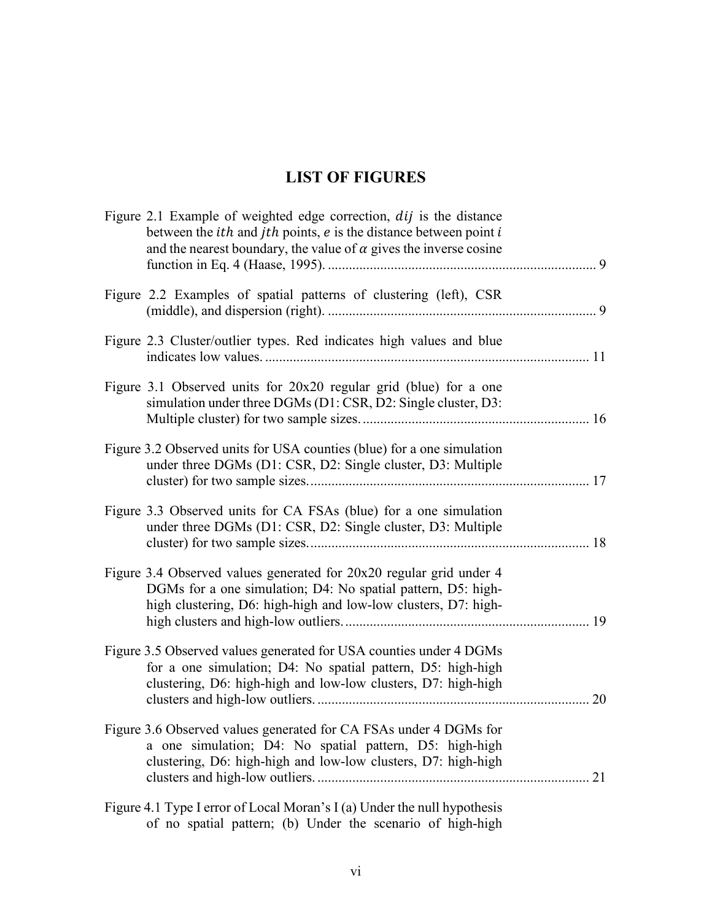# **LIST OF FIGURES**

| Figure 2.1 Example of weighted edge correction, <i>dij</i> is the distance<br>between the <i>ith</i> and <i>jth</i> points, $e$ is the distance between point $i$<br>and the nearest boundary, the value of $\alpha$ gives the inverse cosine |
|-----------------------------------------------------------------------------------------------------------------------------------------------------------------------------------------------------------------------------------------------|
| Figure 2.2 Examples of spatial patterns of clustering (left), CSR                                                                                                                                                                             |
| Figure 2.3 Cluster/outlier types. Red indicates high values and blue                                                                                                                                                                          |
| Figure 3.1 Observed units for 20x20 regular grid (blue) for a one<br>simulation under three DGMs (D1: CSR, D2: Single cluster, D3:                                                                                                            |
| Figure 3.2 Observed units for USA counties (blue) for a one simulation<br>under three DGMs (D1: CSR, D2: Single cluster, D3: Multiple                                                                                                         |
| Figure 3.3 Observed units for CA FSAs (blue) for a one simulation<br>under three DGMs (D1: CSR, D2: Single cluster, D3: Multiple                                                                                                              |
| Figure 3.4 Observed values generated for 20x20 regular grid under 4<br>DGMs for a one simulation; D4: No spatial pattern, D5: high-<br>high clustering, D6: high-high and low-low clusters, D7: high-                                         |
| Figure 3.5 Observed values generated for USA counties under 4 DGMs<br>for a one simulation; D4: No spatial pattern, D5: high-high<br>clustering, D6: high-high and low-low clusters, D7: high-high<br>20                                      |
| Figure 3.6 Observed values generated for CA FSAs under 4 DGMs for<br>a one simulation; D4: No spatial pattern, D5: high-high<br>clustering, D6: high-high and low-low clusters, D7: high-high<br>21                                           |
| Figure 4.1 Type I error of Local Moran's I (a) Under the null hypothesis                                                                                                                                                                      |

of no spatial pattern; (b) Under the scenario of high-high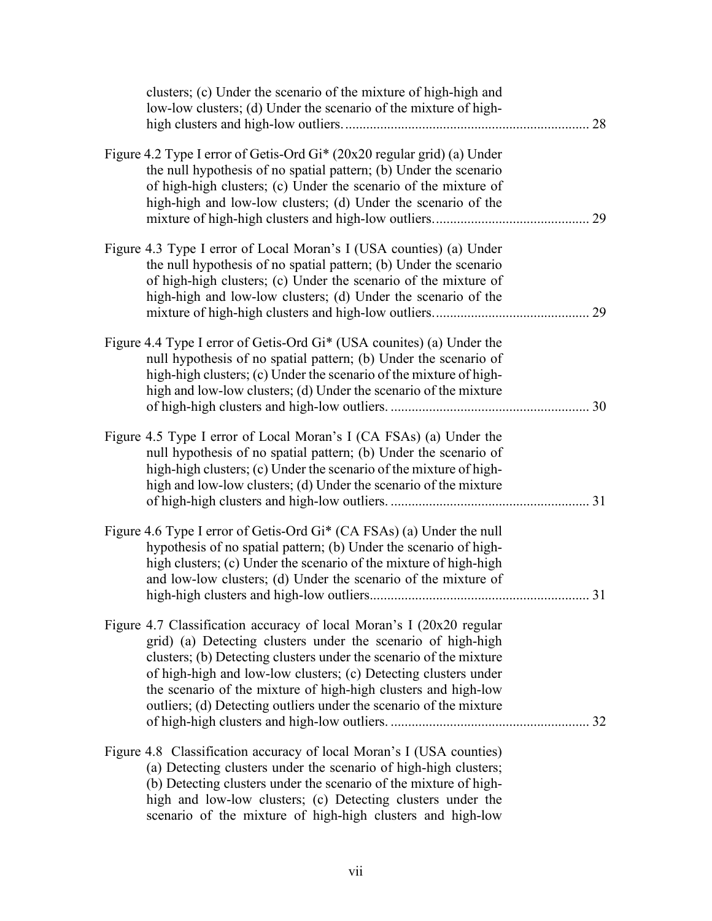| clusters; (c) Under the scenario of the mixture of high-high and<br>low-low clusters; (d) Under the scenario of the mixture of high-                                                                                                                                                                                                                                                                                  | 28 |
|-----------------------------------------------------------------------------------------------------------------------------------------------------------------------------------------------------------------------------------------------------------------------------------------------------------------------------------------------------------------------------------------------------------------------|----|
| Figure 4.2 Type I error of Getis-Ord Gi* (20x20 regular grid) (a) Under<br>the null hypothesis of no spatial pattern; (b) Under the scenario<br>of high-high clusters; (c) Under the scenario of the mixture of<br>high-high and low-low clusters; (d) Under the scenario of the                                                                                                                                      | 29 |
| Figure 4.3 Type I error of Local Moran's I (USA counties) (a) Under<br>the null hypothesis of no spatial pattern; (b) Under the scenario<br>of high-high clusters; (c) Under the scenario of the mixture of<br>high-high and low-low clusters; (d) Under the scenario of the                                                                                                                                          | 29 |
| Figure 4.4 Type I error of Getis-Ord Gi* (USA counites) (a) Under the<br>null hypothesis of no spatial pattern; (b) Under the scenario of<br>high-high clusters; (c) Under the scenario of the mixture of high-<br>high and low-low clusters; (d) Under the scenario of the mixture                                                                                                                                   |    |
| Figure 4.5 Type I error of Local Moran's I (CA FSAs) (a) Under the<br>null hypothesis of no spatial pattern; (b) Under the scenario of<br>high-high clusters; (c) Under the scenario of the mixture of high-<br>high and low-low clusters; (d) Under the scenario of the mixture                                                                                                                                      |    |
| Figure 4.6 Type I error of Getis-Ord Gi* (CA FSAs) (a) Under the null<br>hypothesis of no spatial pattern; (b) Under the scenario of high-<br>high clusters; (c) Under the scenario of the mixture of high-high<br>and low-low clusters; (d) Under the scenario of the mixture of                                                                                                                                     |    |
| Figure 4.7 Classification accuracy of local Moran's I (20x20 regular<br>grid) (a) Detecting clusters under the scenario of high-high<br>clusters; (b) Detecting clusters under the scenario of the mixture<br>of high-high and low-low clusters; (c) Detecting clusters under<br>the scenario of the mixture of high-high clusters and high-low<br>outliers; (d) Detecting outliers under the scenario of the mixture |    |
| Figure 4.8 Classification accuracy of local Moran's I (USA counties)<br>(a) Detecting clusters under the scenario of high-high clusters;<br>(b) Detecting clusters under the scenario of the mixture of high-<br>high and low-low clusters; (c) Detecting clusters under the<br>scenario of the mixture of high-high clusters and high-low                                                                            |    |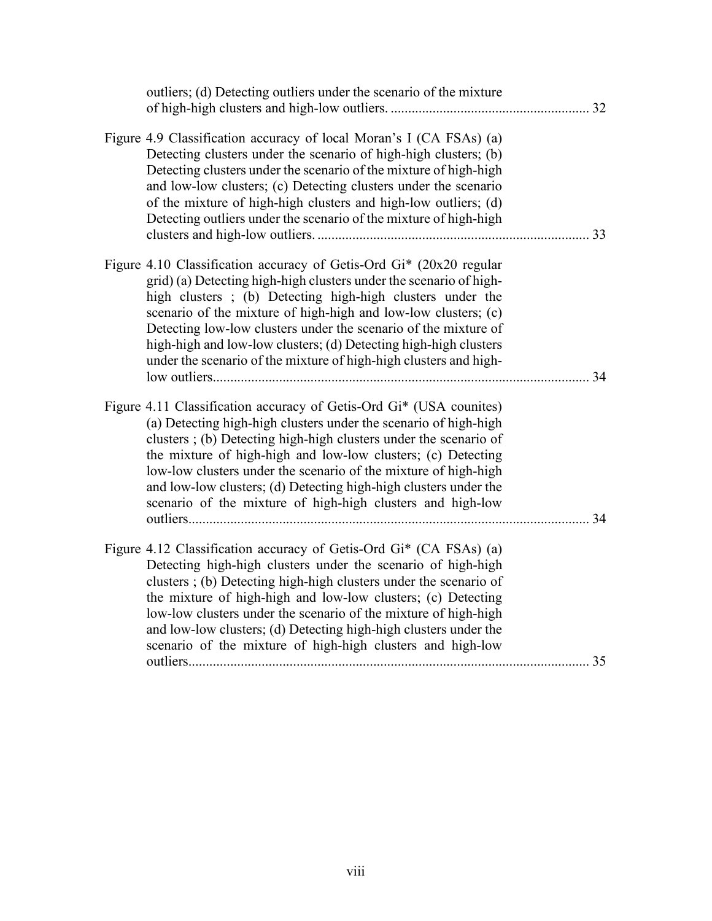| outliers; (d) Detecting outliers under the scenario of the mixture                                                                                                                                                                                                                                                                                                                                                                                                                   | 32 |
|--------------------------------------------------------------------------------------------------------------------------------------------------------------------------------------------------------------------------------------------------------------------------------------------------------------------------------------------------------------------------------------------------------------------------------------------------------------------------------------|----|
| Figure 4.9 Classification accuracy of local Moran's I (CA FSAs) (a)<br>Detecting clusters under the scenario of high-high clusters; (b)<br>Detecting clusters under the scenario of the mixture of high-high<br>and low-low clusters; (c) Detecting clusters under the scenario<br>of the mixture of high-high clusters and high-low outliers; (d)<br>Detecting outliers under the scenario of the mixture of high-high                                                              | 33 |
| Figure 4.10 Classification accuracy of Getis-Ord Gi* (20x20 regular<br>grid) (a) Detecting high-high clusters under the scenario of high-<br>high clusters; (b) Detecting high-high clusters under the<br>scenario of the mixture of high-high and low-low clusters; (c)<br>Detecting low-low clusters under the scenario of the mixture of<br>high-high and low-low clusters; (d) Detecting high-high clusters<br>under the scenario of the mixture of high-high clusters and high- | 34 |
| Figure 4.11 Classification accuracy of Getis-Ord Gi* (USA counites)<br>(a) Detecting high-high clusters under the scenario of high-high<br>clusters; (b) Detecting high-high clusters under the scenario of<br>the mixture of high-high and low-low clusters; (c) Detecting<br>low-low clusters under the scenario of the mixture of high-high<br>and low-low clusters; (d) Detecting high-high clusters under the<br>scenario of the mixture of high-high clusters and high-low     | 34 |
| Figure 4.12 Classification accuracy of Getis-Ord Gi* (CA FSAs) (a)<br>Detecting high-high clusters under the scenario of high-high<br>clusters; (b) Detecting high-high clusters under the scenario of<br>the mixture of high-high and low-low clusters; (c) Detecting<br>low-low clusters under the scenario of the mixture of high-high<br>and low-low clusters; (d) Detecting high-high clusters under the<br>scenario of the mixture of high-high clusters and high-low          | 35 |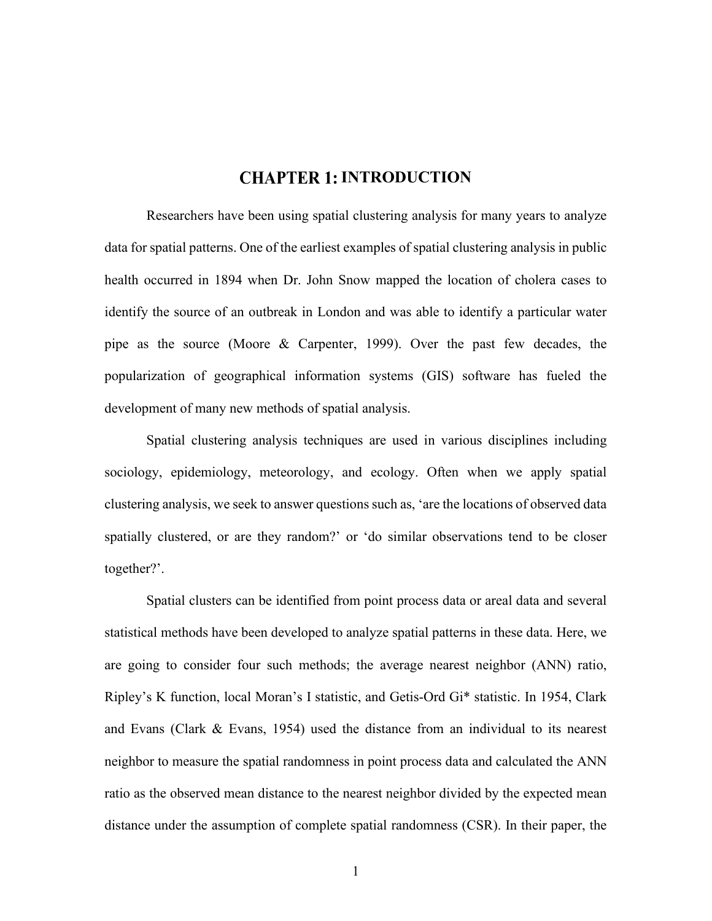## **CHAPTER 1: INTRODUCTION**

Researchers have been using spatial clustering analysis for many years to analyze data for spatial patterns. One of the earliest examples of spatial clustering analysis in public health occurred in 1894 when Dr. John Snow mapped the location of cholera cases to identify the source of an outbreak in London and was able to identify a particular water pipe as the source (Moore & Carpenter, 1999). Over the past few decades, the popularization of geographical information systems (GIS) software has fueled the development of many new methods of spatial analysis.

Spatial clustering analysis techniques are used in various disciplines including sociology, epidemiology, meteorology, and ecology. Often when we apply spatial clustering analysis, we seek to answer questions such as, 'are the locations of observed data spatially clustered, or are they random?' or 'do similar observations tend to be closer together?'.

Spatial clusters can be identified from point process data or areal data and several statistical methods have been developed to analyze spatial patterns in these data. Here, we are going to consider four such methods; the average nearest neighbor (ANN) ratio, Ripley's K function, local Moran's I statistic, and Getis-Ord Gi\* statistic. In 1954, Clark and Evans (Clark & Evans, 1954) used the distance from an individual to its nearest neighbor to measure the spatial randomness in point process data and calculated the ANN ratio as the observed mean distance to the nearest neighbor divided by the expected mean distance under the assumption of complete spatial randomness (CSR). In their paper, the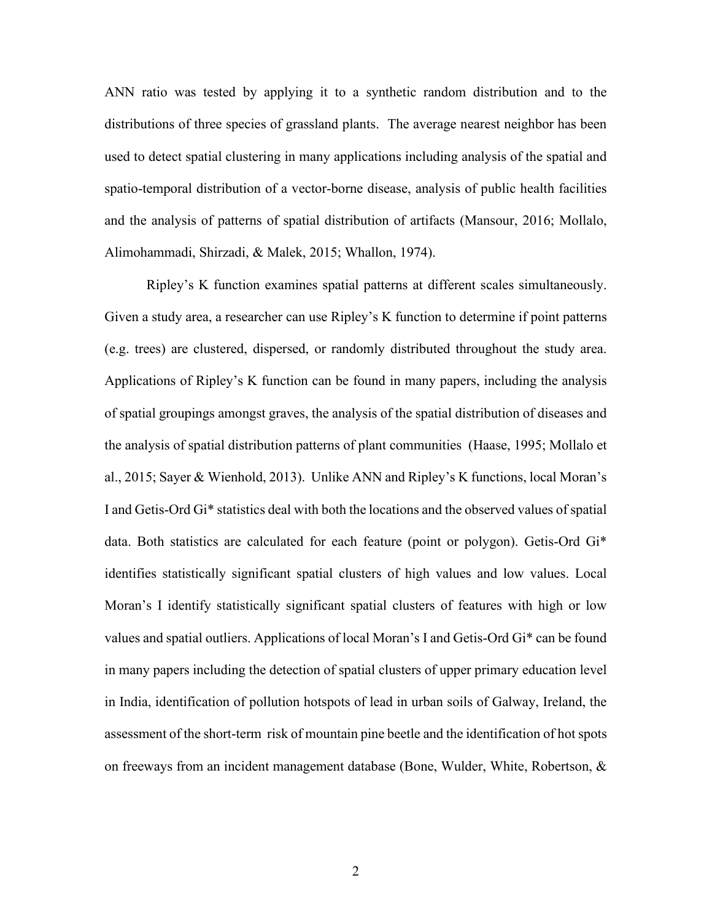ANN ratio was tested by applying it to a synthetic random distribution and to the distributions of three species of grassland plants. The average nearest neighbor has been used to detect spatial clustering in many applications including analysis of the spatial and spatio-temporal distribution of a vector-borne disease, analysis of public health facilities and the analysis of patterns of spatial distribution of artifacts (Mansour, 2016; Mollalo, Alimohammadi, Shirzadi, & Malek, 2015; Whallon, 1974).

Ripley's K function examines spatial patterns at different scales simultaneously. Given a study area, a researcher can use Ripley's K function to determine if point patterns (e.g. trees) are clustered, dispersed, or randomly distributed throughout the study area. Applications of Ripley's K function can be found in many papers, including the analysis of spatial groupings amongst graves, the analysis of the spatial distribution of diseases and the analysis of spatial distribution patterns of plant communities (Haase, 1995; Mollalo et al., 2015; Sayer & Wienhold, 2013). Unlike ANN and Ripley's K functions, local Moran's I and Getis-Ord Gi\* statistics deal with both the locations and the observed values of spatial data. Both statistics are calculated for each feature (point or polygon). Getis-Ord Gi\* identifies statistically significant spatial clusters of high values and low values. Local Moran's I identify statistically significant spatial clusters of features with high or low values and spatial outliers. Applications of local Moran's I and Getis-Ord Gi\* can be found in many papers including the detection of spatial clusters of upper primary education level in India, identification of pollution hotspots of lead in urban soils of Galway, Ireland, the assessment of the short-term risk of mountain pine beetle and the identification of hot spots on freeways from an incident management database (Bone, Wulder, White, Robertson, &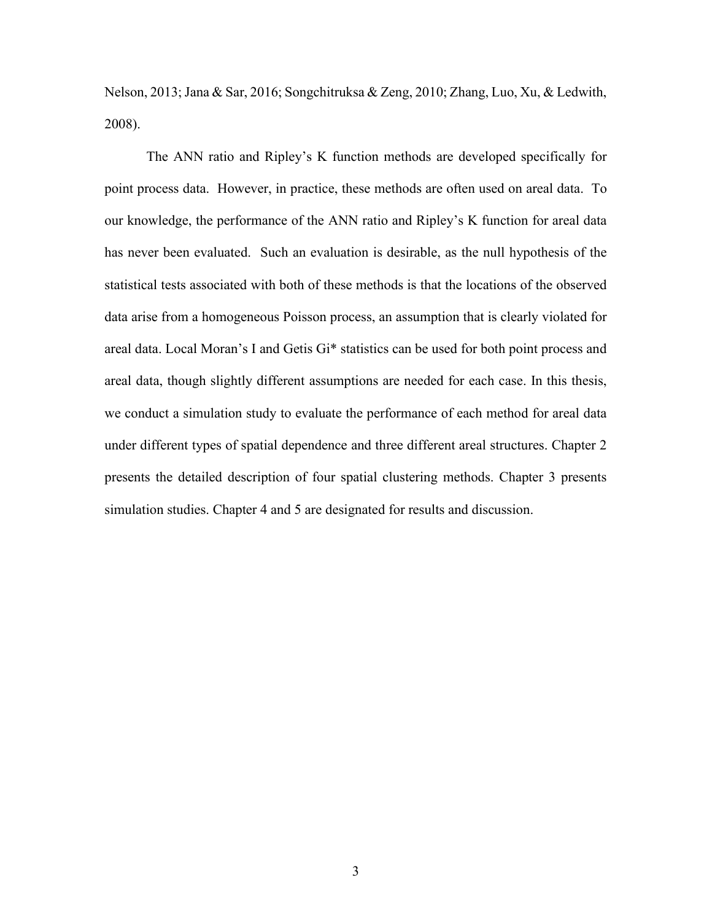Nelson, 2013; Jana & Sar, 2016; Songchitruksa & Zeng, 2010; Zhang, Luo, Xu, & Ledwith, 2008).

The ANN ratio and Ripley's K function methods are developed specifically for point process data. However, in practice, these methods are often used on areal data. To our knowledge, the performance of the ANN ratio and Ripley's K function for areal data has never been evaluated. Such an evaluation is desirable, as the null hypothesis of the statistical tests associated with both of these methods is that the locations of the observed data arise from a homogeneous Poisson process, an assumption that is clearly violated for areal data. Local Moran's I and Getis Gi\* statistics can be used for both point process and areal data, though slightly different assumptions are needed for each case. In this thesis, we conduct a simulation study to evaluate the performance of each method for areal data under different types of spatial dependence and three different areal structures. Chapter 2 presents the detailed description of four spatial clustering methods. Chapter 3 presents simulation studies. Chapter 4 and 5 are designated for results and discussion.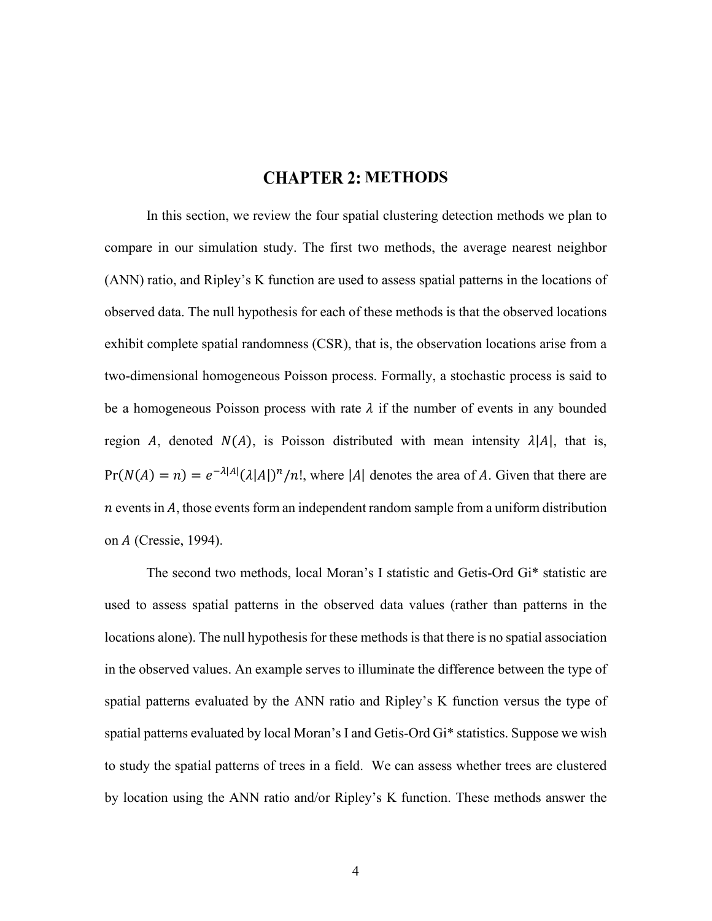## **CHAPTER 2: METHODS**

In this section, we review the four spatial clustering detection methods we plan to compare in our simulation study. The first two methods, the average nearest neighbor (ANN) ratio, and Ripley's K function are used to assess spatial patterns in the locations of observed data. The null hypothesis for each of these methods is that the observed locations exhibit complete spatial randomness (CSR), that is, the observation locations arise from a two-dimensional homogeneous Poisson process. Formally, a stochastic process is said to be a homogeneous Poisson process with rate  $\lambda$  if the number of events in any bounded region A, denoted  $N(A)$ , is Poisson distributed with mean intensity  $\lambda |A|$ , that is,  $Pr(N(A) = n) = e^{-\lambda |A|} (\lambda |A|)^n / n!$ , where |A| denotes the area of A. Given that there are  $n$  events in  $A$ , those events form an independent random sample from a uniform distribution on *A* (Cressie, 1994).

The second two methods, local Moran's I statistic and Getis-Ord Gi\* statistic are used to assess spatial patterns in the observed data values (rather than patterns in the locations alone). The null hypothesis for these methods is that there is no spatial association in the observed values. An example serves to illuminate the difference between the type of spatial patterns evaluated by the ANN ratio and Ripley's K function versus the type of spatial patterns evaluated by local Moran's I and Getis-Ord Gi\* statistics. Suppose we wish to study the spatial patterns of trees in a field. We can assess whether trees are clustered by location using the ANN ratio and/or Ripley's K function. These methods answer the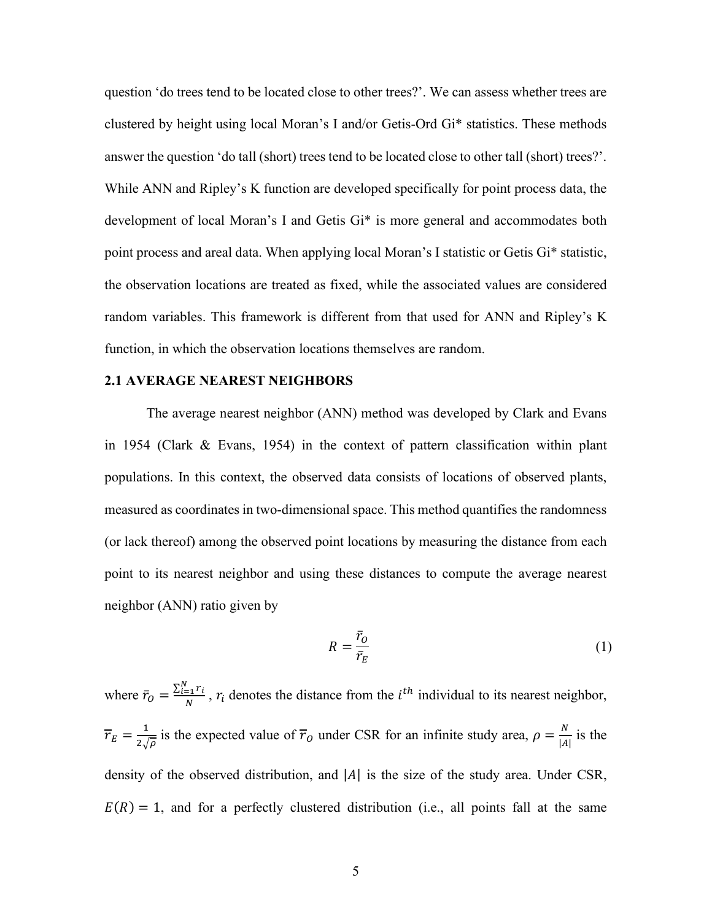question 'do trees tend to be located close to other trees?'. We can assess whether trees are clustered by height using local Moran's I and/or Getis-Ord Gi\* statistics. These methods answer the question 'do tall (short) trees tend to be located close to other tall (short) trees?'. While ANN and Ripley's K function are developed specifically for point process data, the development of local Moran's I and Getis Gi\* is more general and accommodates both point process and areal data. When applying local Moran's I statistic or Getis Gi\* statistic, the observation locations are treated as fixed, while the associated values are considered random variables. This framework is different from that used for ANN and Ripley's K function, in which the observation locations themselves are random.

#### **2.1 AVERAGE NEAREST NEIGHBORS**

The average nearest neighbor (ANN) method was developed by Clark and Evans in 1954 (Clark & Evans, 1954) in the context of pattern classification within plant populations. In this context, the observed data consists of locations of observed plants, measured as coordinates in two-dimensional space. This method quantifies the randomness (or lack thereof) among the observed point locations by measuring the distance from each point to its nearest neighbor and using these distances to compute the average nearest neighbor (ANN) ratio given by

$$
R = \frac{\bar{r}_o}{\bar{r}_E} \tag{1}
$$

where  $\bar{r}_0 = \frac{\sum_{i=1}^{N} r_i}{N}$ ,  $r_i$  denotes the distance from the  $i^{th}$  individual to its nearest neighbor,  $\overline{r}_E = \frac{1}{2\sqrt{\rho}}$  is the expected value of  $\overline{r}_0$  under CSR for an infinite study area,  $\rho = \frac{N}{|A|}$  is the density of the observed distribution, and  $|A|$  is the size of the study area. Under CSR,  $E(R) = 1$ , and for a perfectly clustered distribution (i.e., all points fall at the same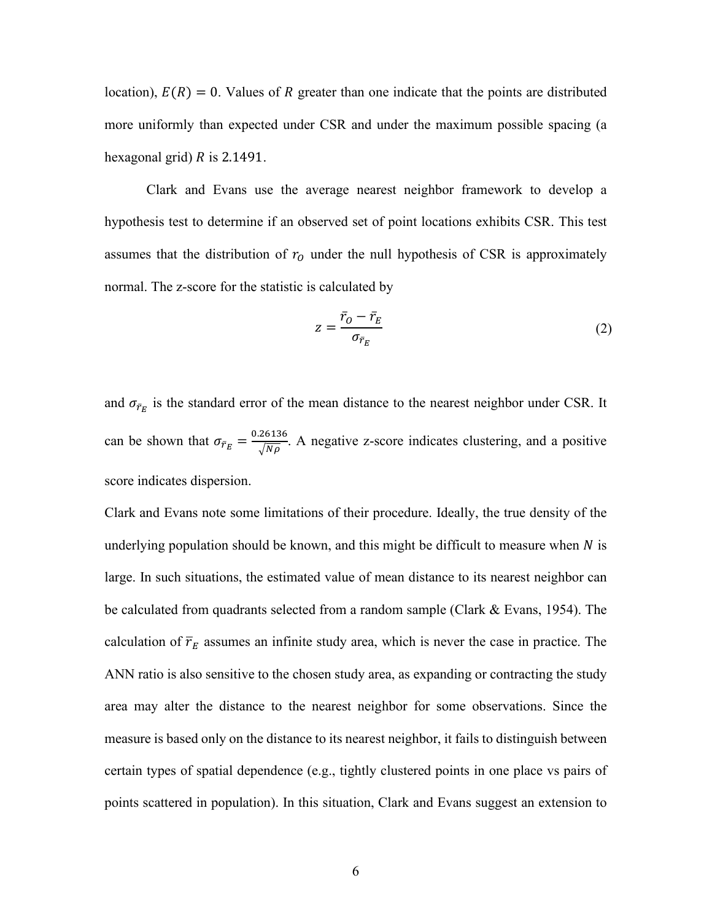location),  $E(R) = 0$ . Values of R greater than one indicate that the points are distributed more uniformly than expected under CSR and under the maximum possible spacing (a hexagonal grid)  $R$  is 2.1491.

Clark and Evans use the average nearest neighbor framework to develop a hypothesis test to determine if an observed set of point locations exhibits CSR. This test assumes that the distribution of  $r<sub>0</sub>$  under the null hypothesis of CSR is approximately normal. The z-score for the statistic is calculated by

$$
z = \frac{\bar{r}_0 - \bar{r}_E}{\sigma_{\bar{r}_E}}
$$
 (2)

and  $\sigma_{\bar{r}_E}$  is the standard error of the mean distance to the nearest neighbor under CSR. It can be shown that  $\sigma_{\bar{r}_E} = \frac{0.26136}{\sqrt{N\rho}}$ . A negative z-score indicates clustering, and a positive score indicates dispersion.

Clark and Evans note some limitations of their procedure. Ideally, the true density of the underlying population should be known, and this might be difficult to measure when  $N$  is large. In such situations, the estimated value of mean distance to its nearest neighbor can be calculated from quadrants selected from a random sample (Clark & Evans, 1954). The calculation of  $\overline{r}_E$  assumes an infinite study area, which is never the case in practice. The ANN ratio is also sensitive to the chosen study area, as expanding or contracting the study area may alter the distance to the nearest neighbor for some observations. Since the measure is based only on the distance to its nearest neighbor, it fails to distinguish between certain types of spatial dependence (e.g., tightly clustered points in one place vs pairs of points scattered in population). In this situation, Clark and Evans suggest an extension to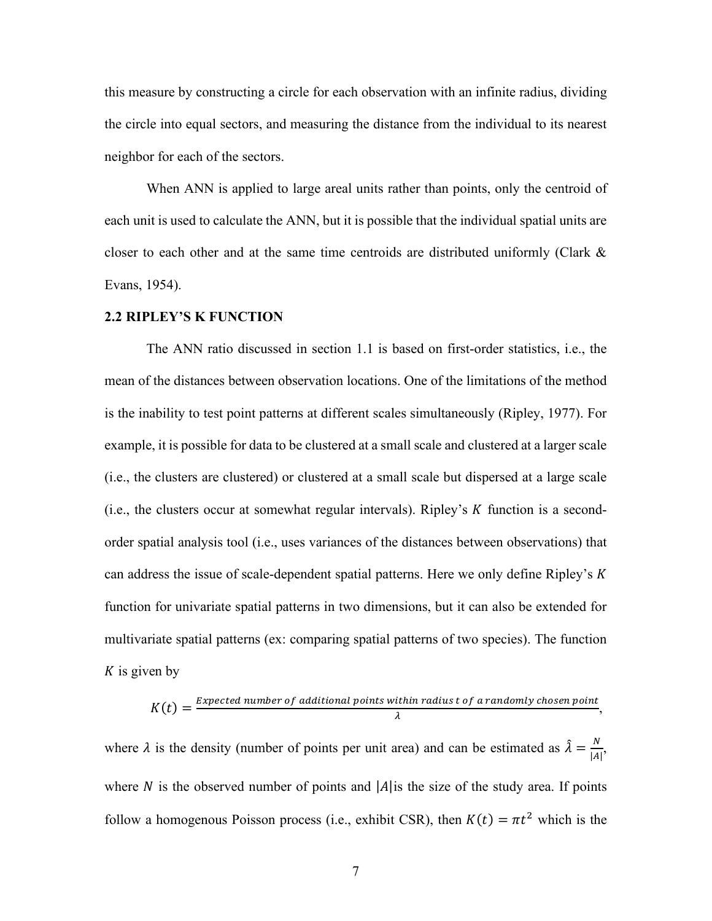this measure by constructing a circle for each observation with an infinite radius, dividing the circle into equal sectors, and measuring the distance from the individual to its nearest neighbor for each of the sectors.

When ANN is applied to large areal units rather than points, only the centroid of each unit is used to calculate the ANN, but it is possible that the individual spatial units are closer to each other and at the same time centroids are distributed uniformly (Clark & Evans, 1954).

#### **2.2 RIPLEY'S K FUNCTION**

The ANN ratio discussed in section 1.1 is based on first-order statistics, i.e., the mean of the distances between observation locations. One of the limitations of the method is the inability to test point patterns at different scales simultaneously (Ripley, 1977). For example, it is possible for data to be clustered at a small scale and clustered at a larger scale (i.e., the clusters are clustered) or clustered at a small scale but dispersed at a large scale (i.e., the clusters occur at somewhat regular intervals). Ripley's  $K$  function is a secondorder spatial analysis tool (i.e., uses variances of the distances between observations) that can address the issue of scale-dependent spatial patterns. Here we only define Ripley's  $K$ function for univariate spatial patterns in two dimensions, but it can also be extended for multivariate spatial patterns (ex: comparing spatial patterns of two species). The function  $K$  is given by

$$
K(t) = \frac{Expected\ number\ of\ additional\ points\ within\ radius\ t\ of\ a\ randomly\ chosen\ point}{\lambda},
$$

where  $\lambda$  is the density (number of points per unit area) and can be estimated as  $\hat{\lambda} = \frac{N}{|A|}$ , where N is the observed number of points and  $|A|$  is the size of the study area. If points follow a homogenous Poisson process (i.e., exhibit CSR), then  $K(t) = \pi t^2$  which is the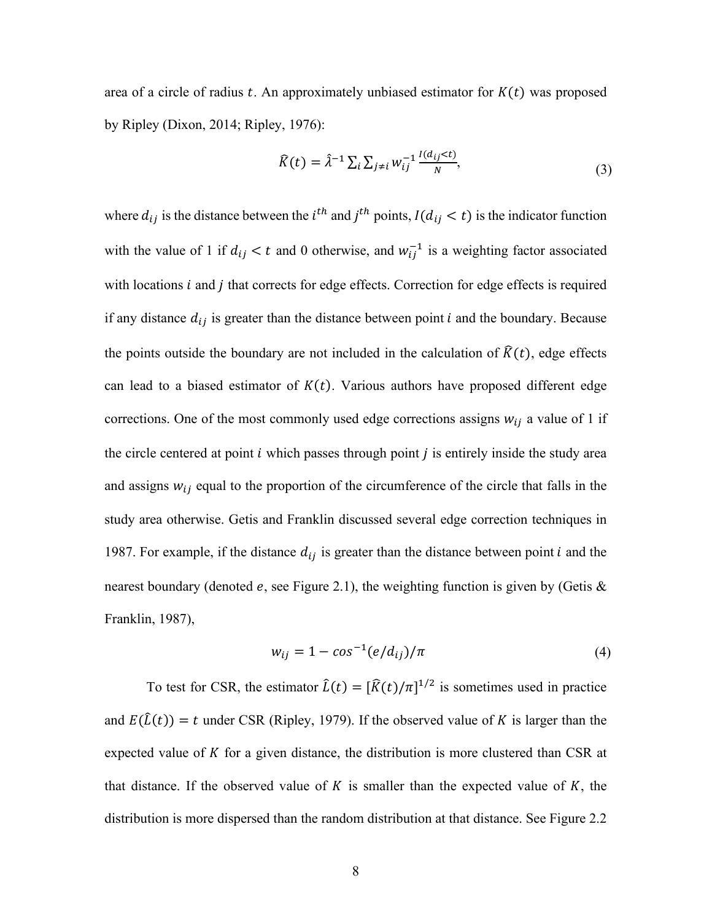area of a circle of radius t. An approximately unbiased estimator for  $K(t)$  was proposed by Ripley (Dixon, 2014; Ripley, 1976):

$$
\widehat{K}(t) = \widehat{\lambda}^{-1} \sum_{i} \sum_{j \neq i} w_{ij}^{-1} \frac{l(d_{ij} < t)}{N},\tag{3}
$$

where  $d_{ij}$  is the distance between the *i*<sup>th</sup> and *j*<sup>th</sup> points,  $I(d_{ij} < t)$  is the indicator function with the value of 1 if  $d_{ij} < t$  and 0 otherwise, and  $w_{ij}^{-1}$  is a weighting factor associated with locations  $i$  and  $j$  that corrects for edge effects. Correction for edge effects is required if any distance  $d_{ij}$  is greater than the distance between point *i* and the boundary. Because the points outside the boundary are not included in the calculation of  $\hat{K}(t)$ , edge effects can lead to a biased estimator of  $K(t)$ . Various authors have proposed different edge corrections. One of the most commonly used edge corrections assigns  $w_{ij}$  a value of 1 if the circle centered at point  $i$  which passes through point  $j$  is entirely inside the study area and assigns  $w_{ij}$  equal to the proportion of the circumference of the circle that falls in the study area otherwise. Getis and Franklin discussed several edge correction techniques in 1987. For example, if the distance  $d_{ij}$  is greater than the distance between point *i* and the nearest boundary (denoted e, see Figure 2.1), the weighting function is given by (Getis  $\&$ Franklin, 1987),

$$
w_{ij} = 1 - \cos^{-1}(e/d_{ij})/\pi
$$
 (4)

To test for CSR, the estimator  $\hat{L}(t) = [\hat{K}(t)/\pi]^{1/2}$  is sometimes used in practice and  $E(\hat{L}(t)) = t$  under CSR (Ripley, 1979). If the observed value of K is larger than the expected value of  $K$  for a given distance, the distribution is more clustered than CSR at that distance. If the observed value of  $K$  is smaller than the expected value of  $K$ , the distribution is more dispersed than the random distribution at that distance. See Figure 2.2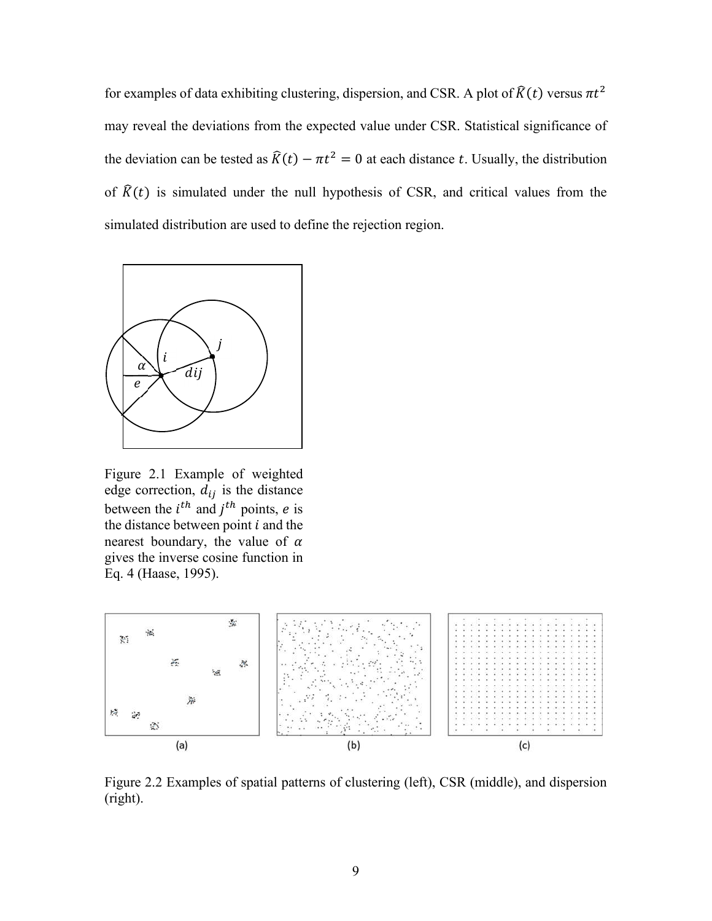for examples of data exhibiting clustering, dispersion, and CSR. A plot of  $\hat{K}(t)$  versus  $\pi t^2$ may reveal the deviations from the expected value under CSR. Statistical significance of the deviation can be tested as  $\hat{K}(t) - \pi t^2 = 0$  at each distance t. Usually, the distribution of  $\hat{K}(t)$  is simulated under the null hypothesis of CSR, and critical values from the simulated distribution are used to define the rejection region.



Figure 2.1 Example of weighted edge correction,  $d_{ij}$  is the distance between the  $i^{th}$  and  $j^{th}$  points, *e* is the distance between point  $i$  and the nearest boundary, the value of  $\alpha$ gives the inverse cosine function in Eq. 4 (Haase, 1995).



Figure 2.2 Examples of spatial patterns of clustering (left), CSR (middle), and dispersion (right).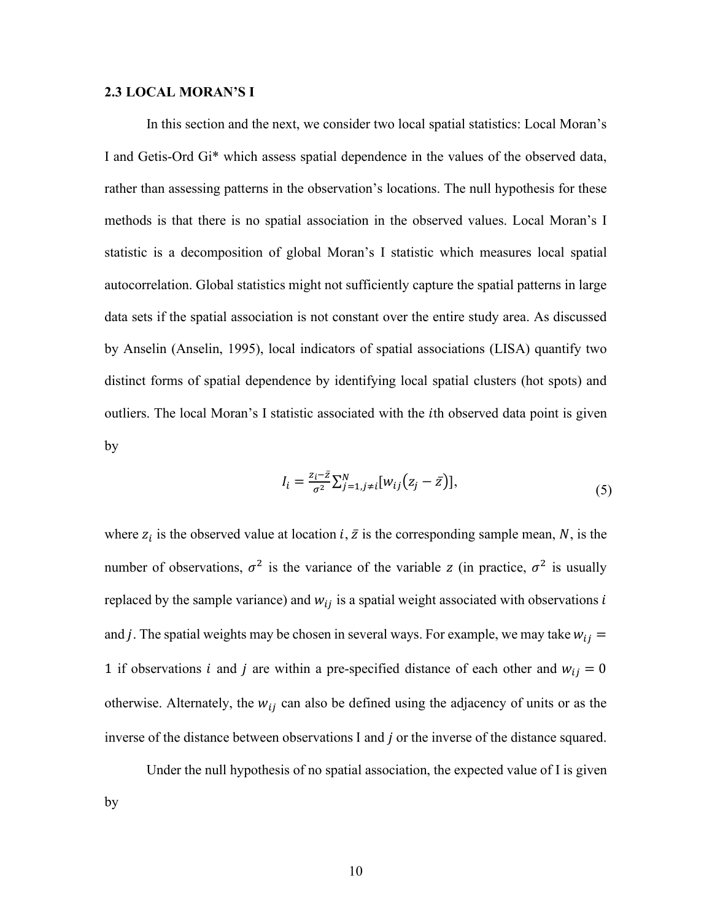#### **2.3 LOCAL MORAN'S I**

In this section and the next, we consider two local spatial statistics: Local Moran's I and Getis-Ord Gi\* which assess spatial dependence in the values of the observed data, rather than assessing patterns in the observation's locations. The null hypothesis for these methods is that there is no spatial association in the observed values. Local Moran's I statistic is a decomposition of global Moran's I statistic which measures local spatial autocorrelation. Global statistics might not sufficiently capture the spatial patterns in large data sets if the spatial association is not constant over the entire study area. As discussed by Anselin (Anselin, 1995), local indicators of spatial associations (LISA) quantify two distinct forms of spatial dependence by identifying local spatial clusters (hot spots) and outliers. The local Moran's I statistic associated with the th observed data point is given by

$$
I_i = \frac{z_i - \bar{z}}{\sigma^2} \sum_{j=1, j \neq i}^{N} [w_{ij}(z_j - \bar{z})],\tag{5}
$$

where  $z_i$  is the observed value at location  $i, \bar{z}$  is the corresponding sample mean, N, is the number of observations,  $\sigma^2$  is the variance of the variable z (in practice,  $\sigma^2$  is usually replaced by the sample variance) and  $w_{ij}$  is a spatial weight associated with observations i and j. The spatial weights may be chosen in several ways. For example, we may take  $w_{ij} =$ 1 if observations *i* and *j* are within a pre-specified distance of each other and  $w_{ij} = 0$ otherwise. Alternately, the  $w_{ij}$  can also be defined using the adjacency of units or as the inverse of the distance between observations I and  $j$  or the inverse of the distance squared.

Under the null hypothesis of no spatial association, the expected value of I is given by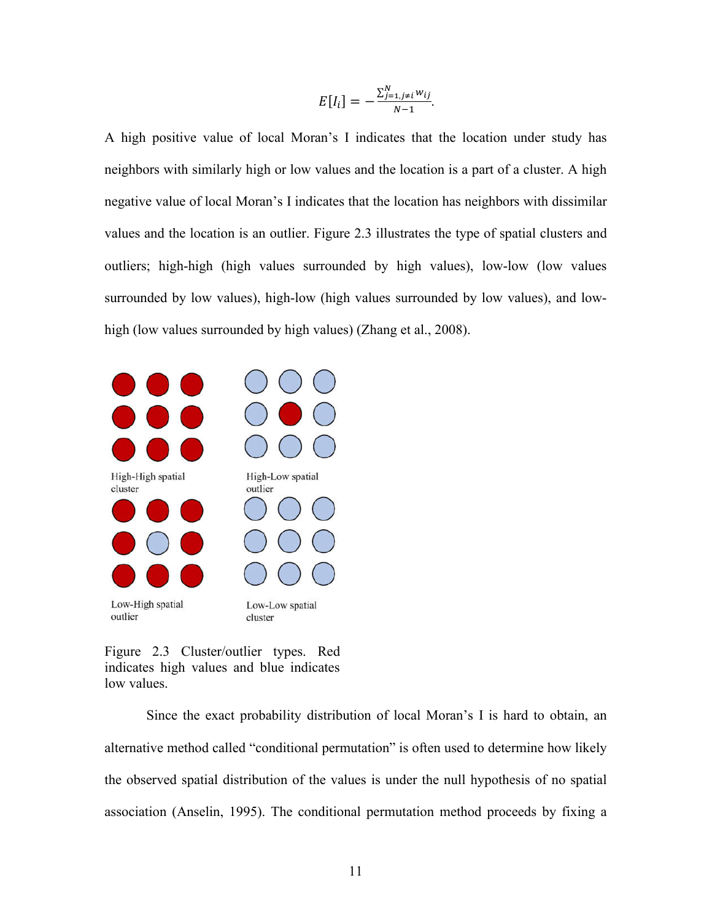$$
E[I_i] = -\frac{\sum_{j=1,j\neq i}^{N} w_{ij}}{N-1}.
$$

A high positive value of local Moran's I indicates that the location under study has neighbors with similarly high or low values and the location is a part of a cluster. A high negative value of local Moran's I indicates that the location has neighbors with dissimilar values and the location is an outlier. Figure 2.3 illustrates the type of spatial clusters and outliers; high-high (high values surrounded by high values), low-low (low values surrounded by low values), high-low (high values surrounded by low values), and lowhigh (low values surrounded by high values) (Zhang et al., 2008).



Figure 2.3 Cluster/outlier types. Red indicates high values and blue indicates low values.

Since the exact probability distribution of local Moran's I is hard to obtain, an alternative method called "conditional permutation" is often used to determine how likely the observed spatial distribution of the values is under the null hypothesis of no spatial association (Anselin, 1995). The conditional permutation method proceeds by fixing a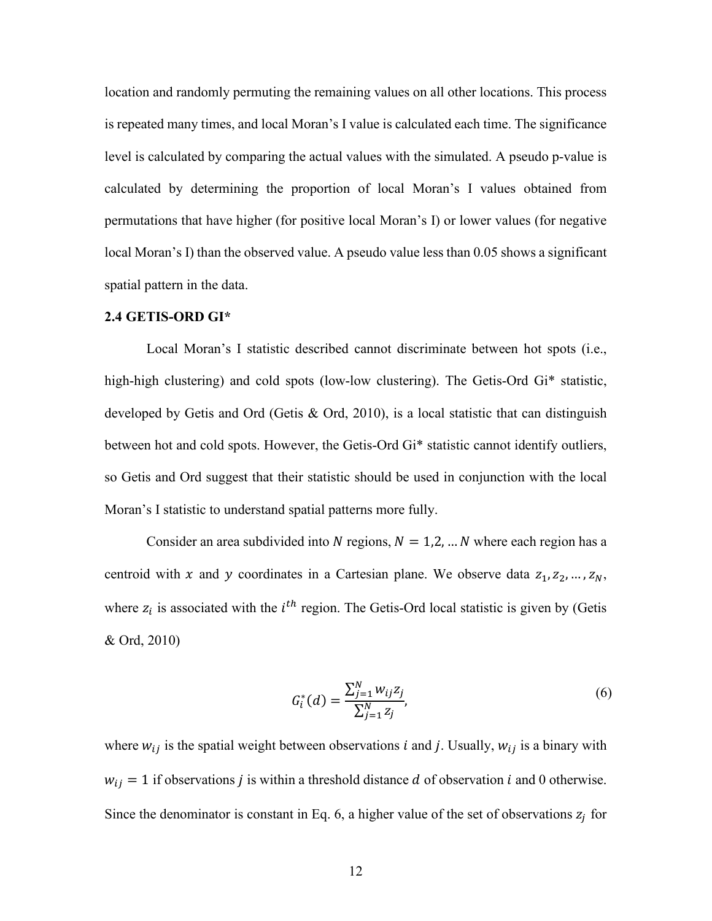location and randomly permuting the remaining values on all other locations. This process is repeated many times, and local Moran's I value is calculated each time. The significance level is calculated by comparing the actual values with the simulated. A pseudo p-value is calculated by determining the proportion of local Moran's I values obtained from permutations that have higher (for positive local Moran's I) or lower values (for negative local Moran's I) than the observed value. A pseudo value less than 0.05 shows a significant spatial pattern in the data.

### **2.4 GETIS-ORD GI\***

Local Moran's I statistic described cannot discriminate between hot spots (i.e., high-high clustering) and cold spots (low-low clustering). The Getis-Ord Gi<sup>\*</sup> statistic, developed by Getis and Ord (Getis & Ord, 2010), is a local statistic that can distinguish between hot and cold spots. However, the Getis-Ord Gi\* statistic cannot identify outliers, so Getis and Ord suggest that their statistic should be used in conjunction with the local Moran's I statistic to understand spatial patterns more fully.

Consider an area subdivided into N regions,  $N = 1, 2, ... N$  where each region has a centroid with x and y coordinates in a Cartesian plane. We observe data  $z_1, z_2, ..., z_N$ , where  $z_i$  is associated with the  $i<sup>th</sup>$  region. The Getis-Ord local statistic is given by (Getis & Ord, 2010)

$$
G_i^*(d) = \frac{\sum_{j=1}^N w_{ij} z_j}{\sum_{j=1}^N z_j},\tag{6}
$$

where  $w_{ij}$  is the spatial weight between observations *i* and *j*. Usually,  $w_{ij}$  is a binary with  $w_{ij} = 1$  if observations *j* is within a threshold distance *d* of observation *i* and 0 otherwise. Since the denominator is constant in Eq. 6, a higher value of the set of observations  $z_i$  for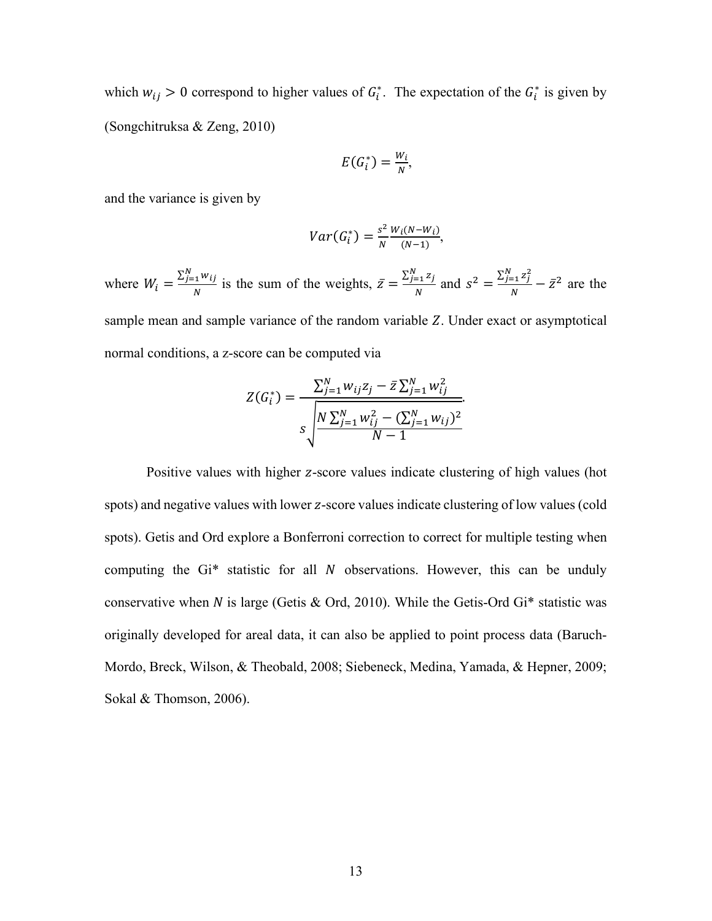which  $w_{ij} > 0$  correspond to higher values of  $G_i^*$ . The expectation of the  $G_i^*$  is given by (Songchitruksa & Zeng, 2010)

$$
E(G_i^*)=\frac{W_i}{N},
$$

and the variance is given by

$$
Var(G_i^*) = \frac{s^2}{N} \frac{W_i(N - W_i)}{(N - 1)},
$$

where  $W_i = \frac{\sum_{j=1}^{N} w_{ij}}{N}$  is the sum of the weights,  $\bar{z} = \frac{\sum_{j=1}^{N} z_j}{N}$  $\frac{z_{-1}z_j}{N}$  and  $s^2 = \frac{\sum_{j=1}^{N} z_j^2}{N}$  $\frac{z^{-1}}{N} - \bar{z}^2$  are the sample mean and sample variance of the random variable  $Z$ . Under exact or asymptotical normal conditions, a z-score can be computed via

$$
Z(G_i^*) = \frac{\sum_{j=1}^N w_{ij} z_j - \bar{z} \sum_{j=1}^N w_{ij}^2}{s \sqrt{\frac{N \sum_{j=1}^N w_{ij}^2 - (\sum_{j=1}^N w_{ij})^2}{N-1}}}
$$

Positive values with higher z-score values indicate clustering of high values (hot spots) and negative values with lower z-score values indicate clustering of low values (cold spots). Getis and Ord explore a Bonferroni correction to correct for multiple testing when computing the  $Gi^*$  statistic for all  $N$  observations. However, this can be unduly conservative when N is large (Getis & Ord, 2010). While the Getis-Ord Gi<sup>\*</sup> statistic was originally developed for areal data, it can also be applied to point process data (Baruch‐ Mordo, Breck, Wilson, & Theobald, 2008; Siebeneck, Medina, Yamada, & Hepner, 2009; Sokal & Thomson, 2006).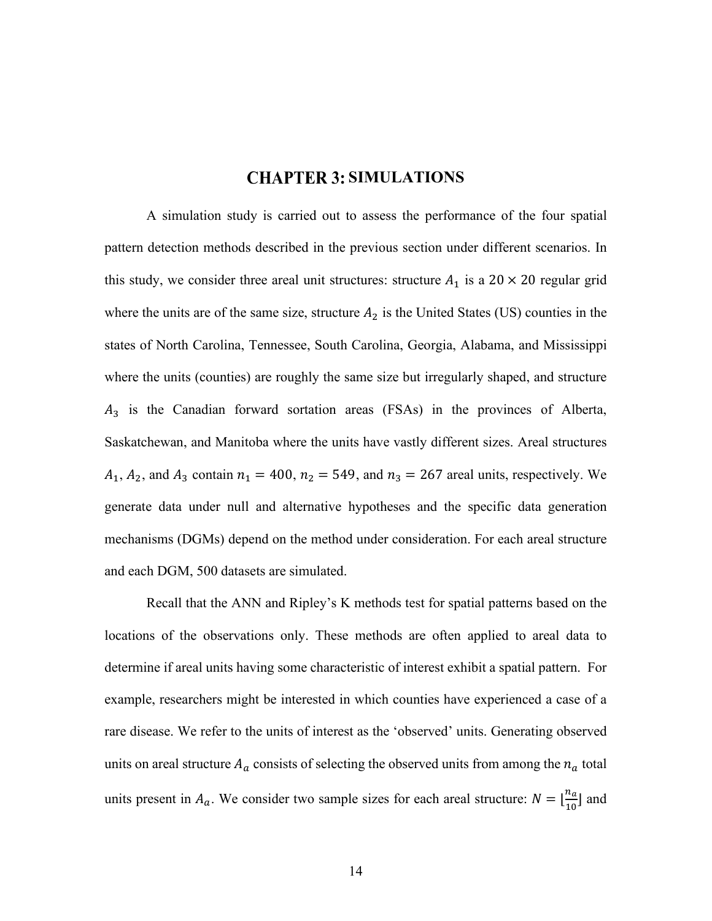## **CHAPTER 3: SIMULATIONS**

A simulation study is carried out to assess the performance of the four spatial pattern detection methods described in the previous section under different scenarios. In this study, we consider three areal unit structures: structure  $A_1$  is a 20 × 20 regular grid where the units are of the same size, structure  $A_2$  is the United States (US) counties in the states of North Carolina, Tennessee, South Carolina, Georgia, Alabama, and Mississippi where the units (counties) are roughly the same size but irregularly shaped, and structure  $A_3$  is the Canadian forward sortation areas (FSAs) in the provinces of Alberta, Saskatchewan, and Manitoba where the units have vastly different sizes. Areal structures  $A_1$ ,  $A_2$ , and  $A_3$  contain  $n_1 = 400$ ,  $n_2 = 549$ , and  $n_3 = 267$  areal units, respectively. We generate data under null and alternative hypotheses and the specific data generation mechanisms (DGMs) depend on the method under consideration. For each areal structure and each DGM, 500 datasets are simulated.

Recall that the ANN and Ripley's K methods test for spatial patterns based on the locations of the observations only. These methods are often applied to areal data to determine if areal units having some characteristic of interest exhibit a spatial pattern. For example, researchers might be interested in which counties have experienced a case of a rare disease. We refer to the units of interest as the 'observed' units. Generating observed units on areal structure  $A_a$  consists of selecting the observed units from among the  $n_a$  total units present in  $A_a$ . We consider two sample sizes for each areal structure:  $N = \lfloor \frac{n_a}{10} \rfloor$  and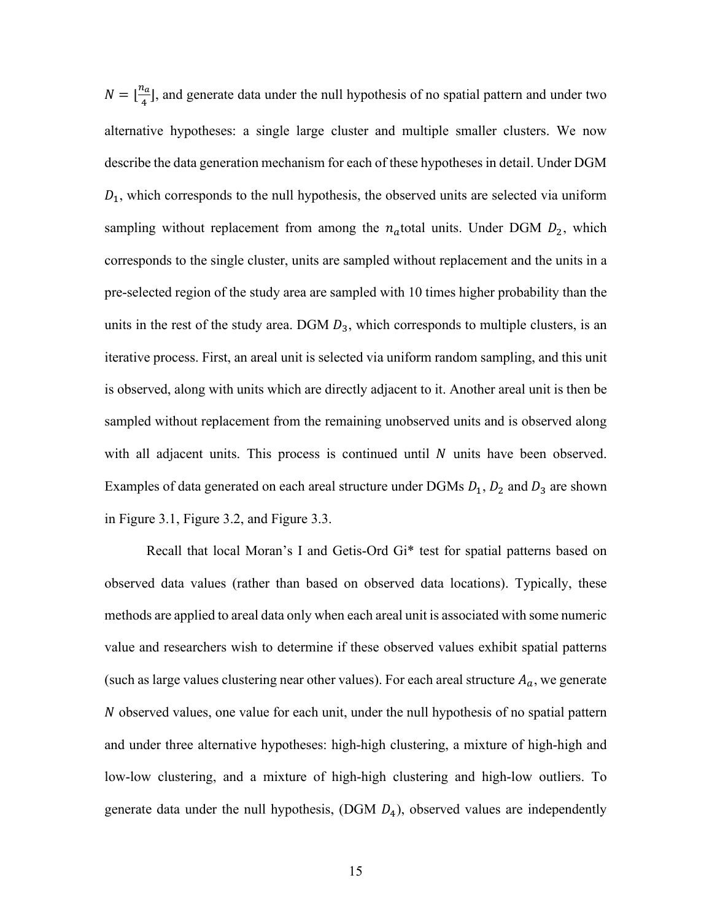$N = \lfloor \frac{n_a}{4} \rfloor$ , and generate data under the null hypothesis of no spatial pattern and under two alternative hypotheses: a single large cluster and multiple smaller clusters. We now describe the data generation mechanism for each of these hypotheses in detail. Under DGM  $D_1$ , which corresponds to the null hypothesis, the observed units are selected via uniform sampling without replacement from among the  $n_a$ total units. Under DGM  $D_2$ , which corresponds to the single cluster, units are sampled without replacement and the units in a pre-selected region of the study area are sampled with 10 times higher probability than the units in the rest of the study area. DGM  $D_3$ , which corresponds to multiple clusters, is an iterative process. First, an areal unit is selected via uniform random sampling, and this unit is observed, along with units which are directly adjacent to it. Another areal unit is then be sampled without replacement from the remaining unobserved units and is observed along with all adjacent units. This process is continued until  $N$  units have been observed. Examples of data generated on each areal structure under DGMs  $D_1$ ,  $D_2$  and  $D_3$  are shown in Figure 3.1, Figure 3.2, and Figure 3.3.

Recall that local Moran's I and Getis-Ord Gi\* test for spatial patterns based on observed data values (rather than based on observed data locations). Typically, these methods are applied to areal data only when each areal unit is associated with some numeric value and researchers wish to determine if these observed values exhibit spatial patterns (such as large values clustering near other values). For each areal structure  $A_a$ , we generate  $N$  observed values, one value for each unit, under the null hypothesis of no spatial pattern and under three alternative hypotheses: high-high clustering, a mixture of high-high and low-low clustering, and a mixture of high-high clustering and high-low outliers. To generate data under the null hypothesis,  $(DGM D<sub>4</sub>)$ , observed values are independently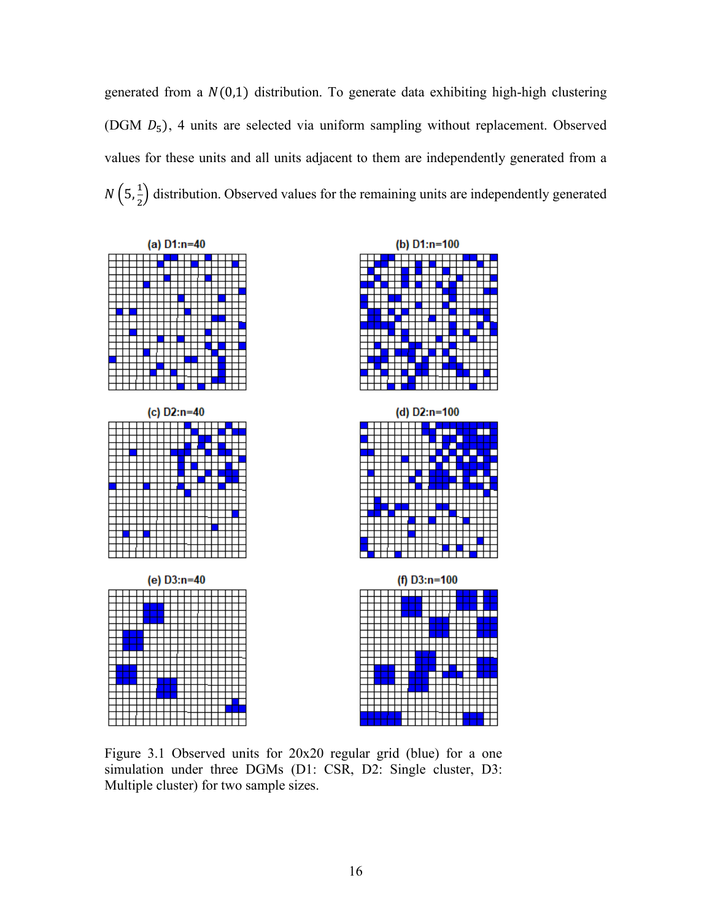generated from a  $N(0,1)$  distribution. To generate data exhibiting high-high clustering (DGM  $D_5$ ), 4 units are selected via uniform sampling without replacement. Observed values for these units and all units adjacent to them are independently generated from a  $N(5, \frac{1}{2})$  $\frac{1}{2}$ ) distribution. Observed values for the remaining units are independently generated





Figure 3.1 Observed units for 20x20 regular grid (blue) for a one simulation under three DGMs (D1: CSR, D2: Single cluster, D3: Multiple cluster) for two sample sizes.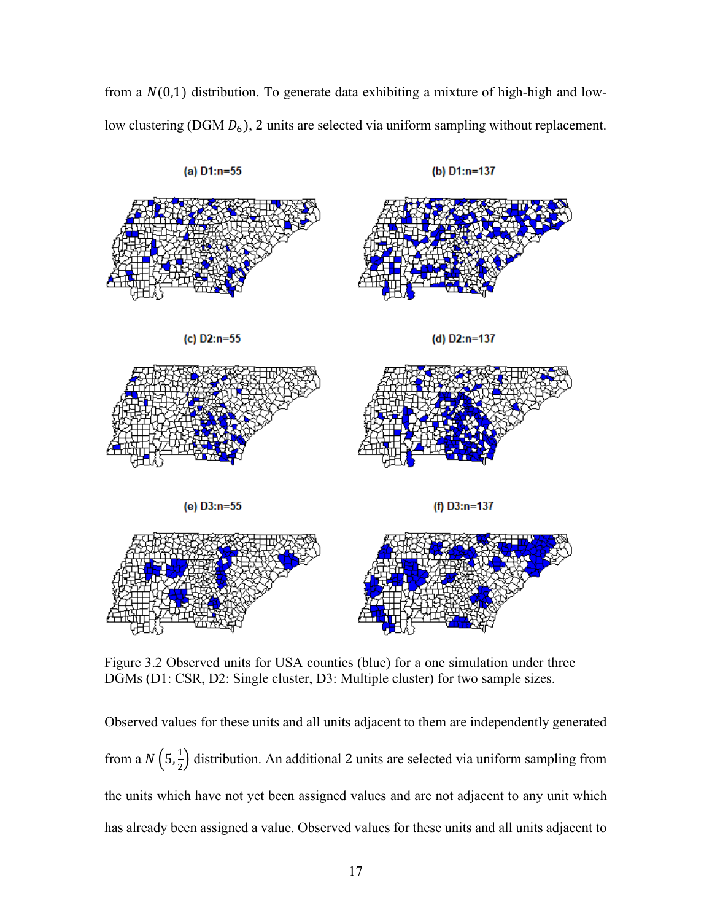from a  $N(0,1)$  distribution. To generate data exhibiting a mixture of high-high and lowlow clustering (DGM  $D_6$ ), 2 units are selected via uniform sampling without replacement.



Figure 3.2 Observed units for USA counties (blue) for a one simulation under three DGMs (D1: CSR, D2: Single cluster, D3: Multiple cluster) for two sample sizes.

Observed values for these units and all units adjacent to them are independently generated from a  $N\left(5,\frac{1}{2}\right)$  $\frac{1}{2}$ ) distribution. An additional 2 units are selected via uniform sampling from the units which have not yet been assigned values and are not adjacent to any unit which has already been assigned a value. Observed values for these units and all units adjacent to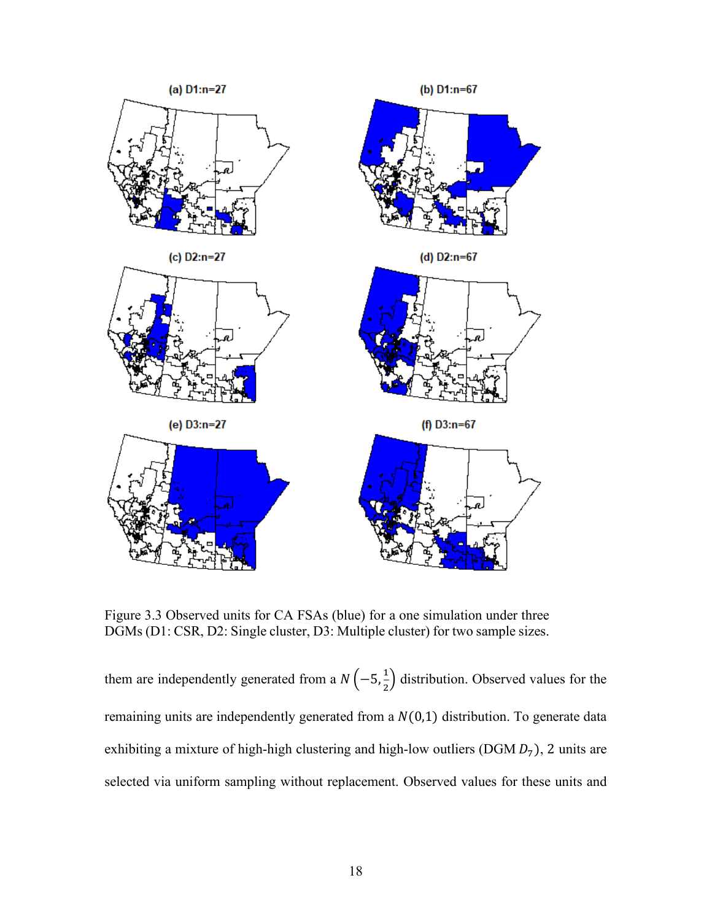

Figure 3.3 Observed units for CA FSAs (blue) for a one simulation under three DGMs (D1: CSR, D2: Single cluster, D3: Multiple cluster) for two sample sizes.

them are independently generated from a  $N\left(-5, \frac{1}{2}\right)$  $\frac{1}{2}$ ) distribution. Observed values for the remaining units are independently generated from a  $N(0,1)$  distribution. To generate data exhibiting a mixture of high-high clustering and high-low outliers (DGM  $D_7$ ), 2 units are selected via uniform sampling without replacement. Observed values for these units and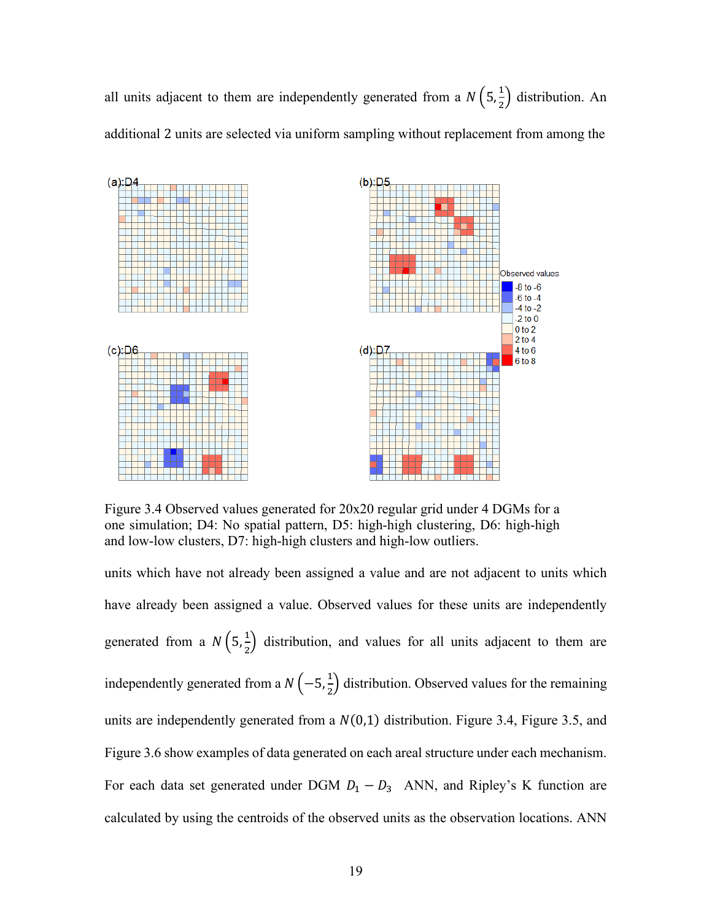all units adjacent to them are independently generated from a  $N\left(5,\frac{1}{2}\right)$  $\frac{1}{2}$ ) distribution. An additional 2 units are selected via uniform sampling without replacement from among the



Figure 3.4 Observed values generated for 20x20 regular grid under 4 DGMs for a one simulation; D4: No spatial pattern, D5: high-high clustering, D6: high-high and low-low clusters, D7: high-high clusters and high-low outliers.

units which have not already been assigned a value and are not adjacent to units which have already been assigned a value. Observed values for these units are independently generated from a  $N\left(5,\frac{1}{2}\right)$  $\frac{1}{2}$ ) distribution, and values for all units adjacent to them are independently generated from a  $N\left(-5, \frac{1}{2}\right)$  $\frac{1}{2}$ ) distribution. Observed values for the remaining units are independently generated from a  $N(0,1)$  distribution. Figure 3.4, Figure 3.5, and Figure 3.6 show examples of data generated on each areal structure under each mechanism. For each data set generated under DGM  $D_1 - D_3$  ANN, and Ripley's K function are calculated by using the centroids of the observed units as the observation locations. ANN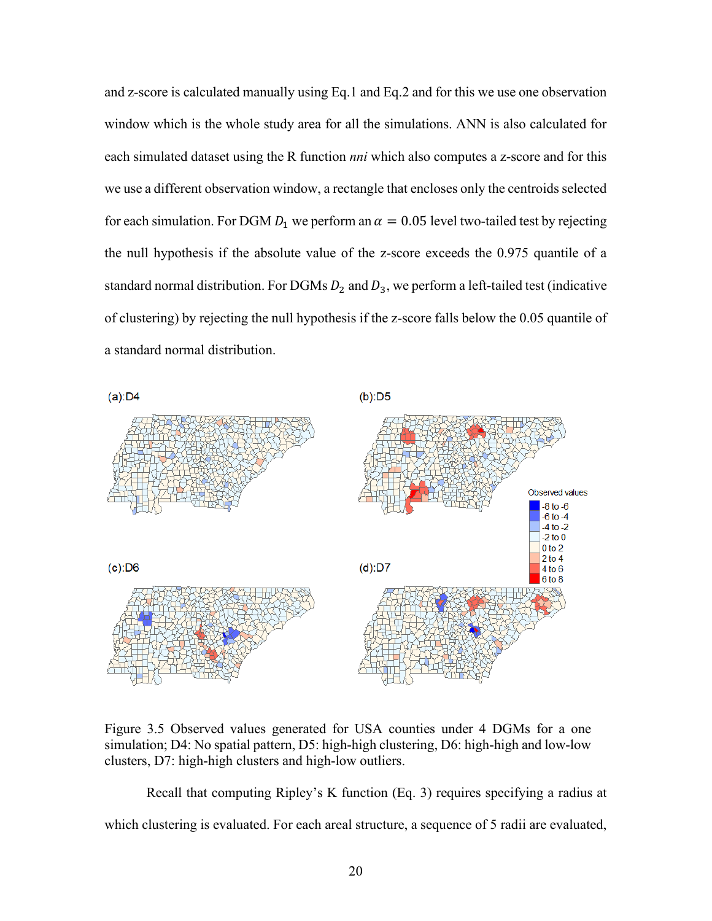and z-score is calculated manually using Eq.1 and Eq.2 and for this we use one observation window which is the whole study area for all the simulations. ANN is also calculated for each simulated dataset using the R function *nni* which also computes a z-score and for this we use a different observation window, a rectangle that encloses only the centroids selected for each simulation. For DGM  $D_1$  we perform an  $\alpha = 0.05$  level two-tailed test by rejecting the null hypothesis if the absolute value of the z-score exceeds the 0.975 quantile of a standard normal distribution. For DGMs  $D_2$  and  $D_3$ , we perform a left-tailed test (indicative of clustering) by rejecting the null hypothesis if the z-score falls below the 0.05 quantile of a standard normal distribution.



Figure 3.5 Observed values generated for USA counties under 4 DGMs for a one simulation; D4: No spatial pattern, D5: high-high clustering, D6: high-high and low-low clusters, D7: high-high clusters and high-low outliers.

Recall that computing Ripley's K function (Eq. 3) requires specifying a radius at which clustering is evaluated. For each areal structure, a sequence of 5 radii are evaluated,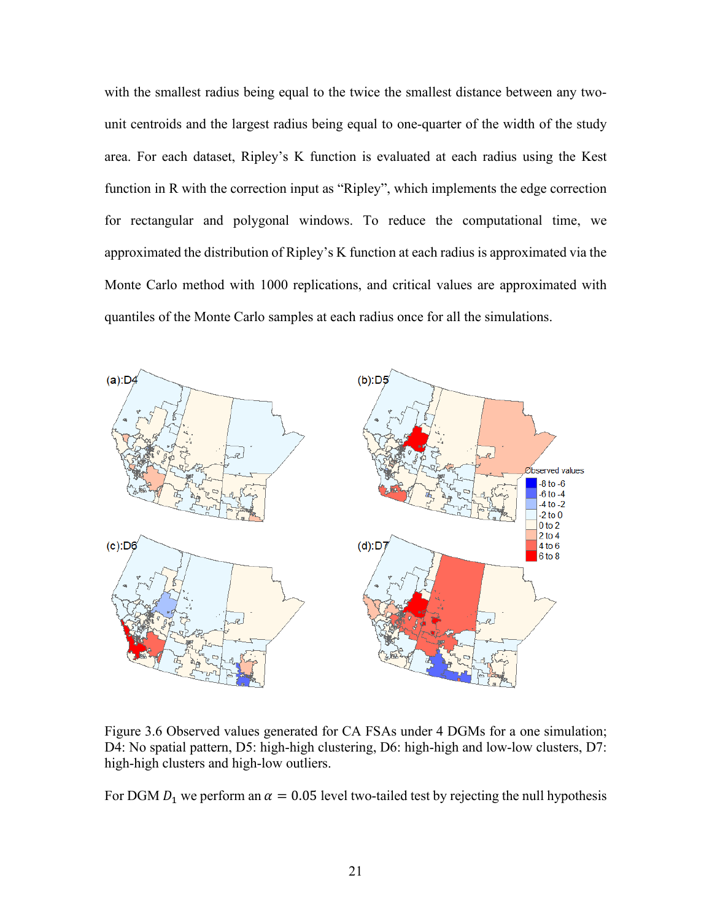with the smallest radius being equal to the twice the smallest distance between any twounit centroids and the largest radius being equal to one-quarter of the width of the study area. For each dataset, Ripley's K function is evaluated at each radius using the Kest function in R with the correction input as "Ripley", which implements the edge correction for rectangular and polygonal windows. To reduce the computational time, we approximated the distribution of Ripley's K function at each radius is approximated via the Monte Carlo method with 1000 replications, and critical values are approximated with quantiles of the Monte Carlo samples at each radius once for all the simulations.



Figure 3.6 Observed values generated for CA FSAs under 4 DGMs for a one simulation; D4: No spatial pattern, D5: high-high clustering, D6: high-high and low-low clusters, D7: high-high clusters and high-low outliers.

For DGM  $D_1$  we perform an  $\alpha = 0.05$  level two-tailed test by rejecting the null hypothesis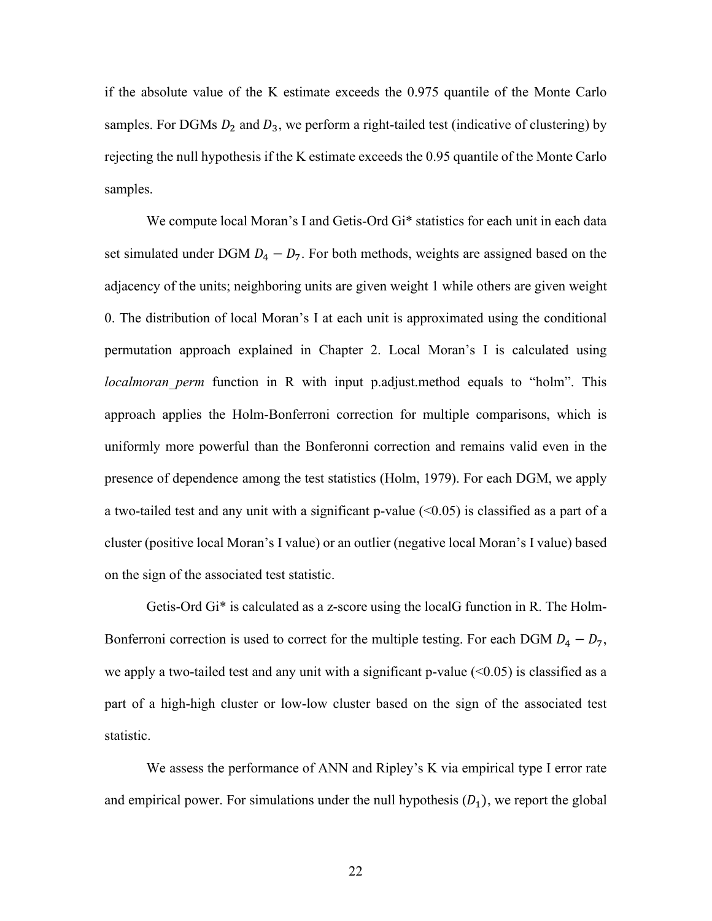if the absolute value of the K estimate exceeds the 0.975 quantile of the Monte Carlo samples. For DGMs  $D_2$  and  $D_3$ , we perform a right-tailed test (indicative of clustering) by rejecting the null hypothesis if the K estimate exceeds the 0.95 quantile of the Monte Carlo samples.

We compute local Moran's I and Getis-Ord Gi\* statistics for each unit in each data set simulated under DGM  $D_4 - D_7$ . For both methods, weights are assigned based on the adjacency of the units; neighboring units are given weight 1 while others are given weight 0. The distribution of local Moran's I at each unit is approximated using the conditional permutation approach explained in Chapter 2. Local Moran's I is calculated using *localmoran perm* function in R with input p.adjust.method equals to "holm". This approach applies the Holm-Bonferroni correction for multiple comparisons, which is uniformly more powerful than the Bonferonni correction and remains valid even in the presence of dependence among the test statistics (Holm, 1979). For each DGM, we apply a two-tailed test and any unit with a significant p-value  $(\leq 0.05)$  is classified as a part of a cluster (positive local Moran's I value) or an outlier (negative local Moran's I value) based on the sign of the associated test statistic.

Getis-Ord Gi\* is calculated as a z-score using the localG function in R. The Holm-Bonferroni correction is used to correct for the multiple testing. For each DGM  $D_4 - D_7$ , we apply a two-tailed test and any unit with a significant p-value  $(\leq 0.05)$  is classified as a part of a high-high cluster or low-low cluster based on the sign of the associated test statistic.

We assess the performance of ANN and Ripley's K via empirical type I error rate and empirical power. For simulations under the null hypothesis  $(D_1)$ , we report the global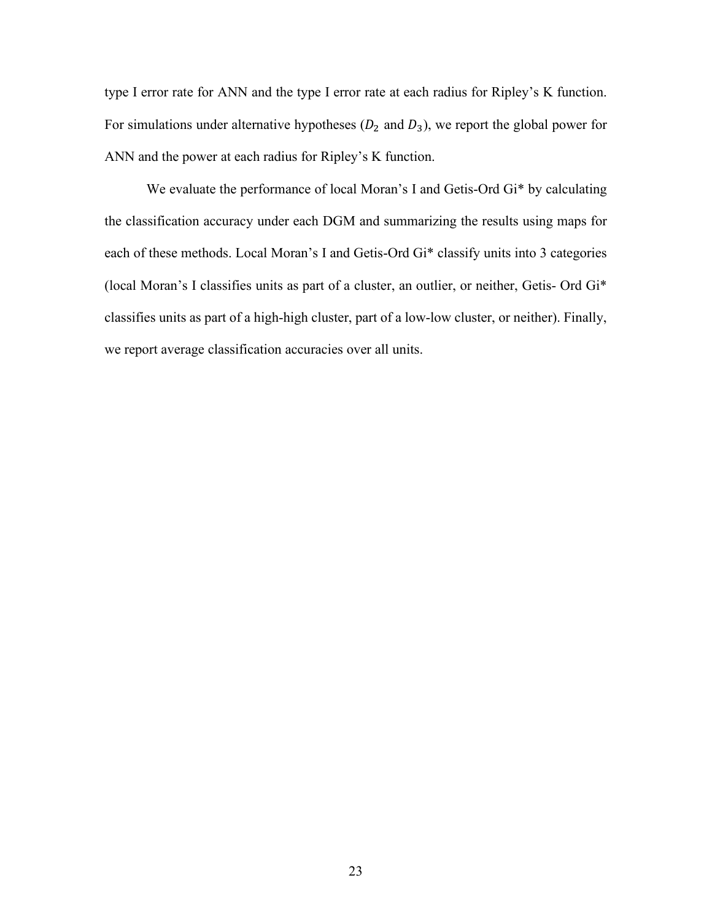type I error rate for ANN and the type I error rate at each radius for Ripley's K function. For simulations under alternative hypotheses  $(D_2 \text{ and } D_3)$ , we report the global power for ANN and the power at each radius for Ripley's K function.

We evaluate the performance of local Moran's I and Getis-Ord Gi\* by calculating the classification accuracy under each DGM and summarizing the results using maps for each of these methods. Local Moran's I and Getis-Ord Gi\* classify units into 3 categories (local Moran's I classifies units as part of a cluster, an outlier, or neither, Getis- Ord Gi\* classifies units as part of a high-high cluster, part of a low-low cluster, or neither). Finally, we report average classification accuracies over all units.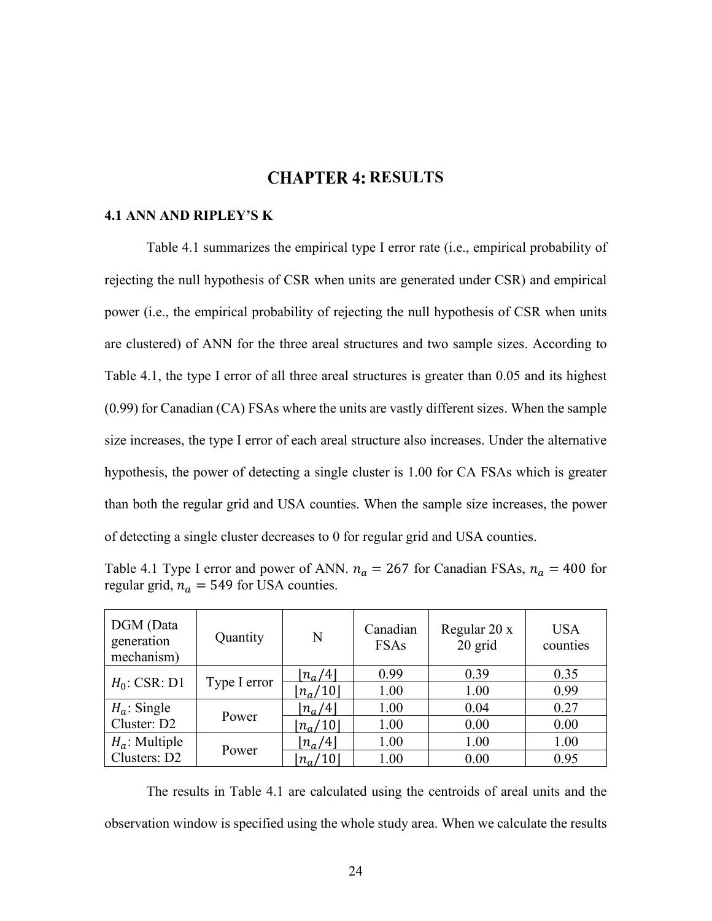## **CHAPTER 4: RESULTS**

#### **4.1 ANN AND RIPLEY'S K**

Table 4.1 summarizes the empirical type I error rate (i.e., empirical probability of rejecting the null hypothesis of CSR when units are generated under CSR) and empirical power (i.e., the empirical probability of rejecting the null hypothesis of CSR when units are clustered) of ANN for the three areal structures and two sample sizes. According to Table 4.1, the type I error of all three areal structures is greater than 0.05 and its highest (0.99) for Canadian (CA) FSAs where the units are vastly different sizes. When the sample size increases, the type I error of each areal structure also increases. Under the alternative hypothesis, the power of detecting a single cluster is 1.00 for CA FSAs which is greater than both the regular grid and USA counties. When the sample size increases, the power of detecting a single cluster decreases to 0 for regular grid and USA counties.

Table 4.1 Type I error and power of ANN.  $n_a = 267$  for Canadian FSAs,  $n_a = 400$  for regular grid,  $n_a = 549$  for USA counties.

| DGM (Data<br>generation<br>mechanism) | Quantity     | N                       | Canadian<br><b>FSAs</b> | Regular 20 x<br>20 grid | <b>USA</b><br>counties |
|---------------------------------------|--------------|-------------------------|-------------------------|-------------------------|------------------------|
| $H_0$ : CSR: D1                       | Type I error | $\lfloor n_a/4 \rfloor$ | 0.99                    | 0.39                    | 0.35                   |
|                                       |              | $ n_a/10 $              | 1.00                    | 1.00                    | 0.99                   |
| $H_a$ : Single                        | Power        | $\lfloor n_a/4 \rfloor$ | 1.00                    | 0.04                    | 0.27                   |
| Cluster: D2                           |              | $ n_a/10 $              | 1.00                    | 0.00                    | 0.00                   |
| $H_a$ : Multiple                      |              | $\lfloor n_a/4 \rfloor$ | 1.00                    | 1.00                    | 1.00                   |
| Clusters: D2                          | Power        | $ n_a/10 $              | 1.00                    | 0.00                    | 0.95                   |

The results in Table 4.1 are calculated using the centroids of areal units and the observation window is specified using the whole study area. When we calculate the results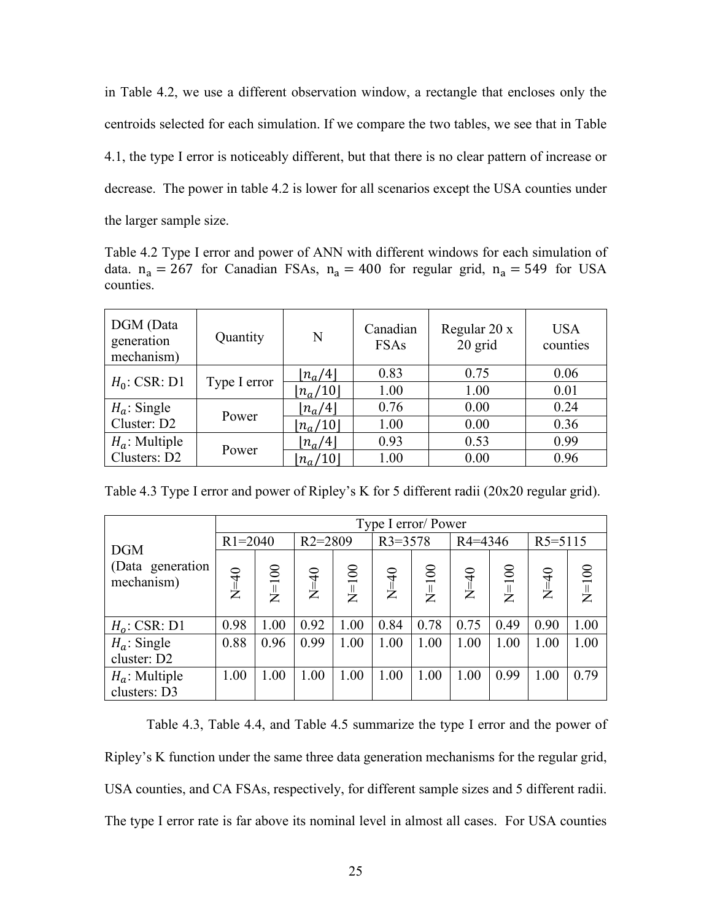in Table 4.2, we use a different observation window, a rectangle that encloses only the centroids selected for each simulation. If we compare the two tables, we see that in Table 4.1, the type I error is noticeably different, but that there is no clear pattern of increase or decrease. The power in table 4.2 is lower for all scenarios except the USA counties under the larger sample size.

Table 4.2 Type I error and power of ANN with different windows for each simulation of data.  $n_a = 267$  for Canadian FSAs,  $n_a = 400$  for regular grid,  $n_a = 549$  for USA counties.

| DGM (Data<br>generation<br>mechanism) | Quantity     | N                       | Canadian<br><b>FSAs</b> | Regular 20 x<br>20 grid | <b>USA</b><br>counties |
|---------------------------------------|--------------|-------------------------|-------------------------|-------------------------|------------------------|
| $H_0$ : CSR: D1                       | Type I error | $\lfloor n_a/4 \rfloor$ | 0.83                    | 0.75                    | 0.06                   |
|                                       |              | $ n_a/10 $              | 1.00                    | 1.00                    | 0.01                   |
| $H_a$ : Single                        |              | $\lfloor n_a/4 \rfloor$ | 0.76                    | 0.00                    | 0.24                   |
| Cluster: D2                           | Power        | $ n_a/10 $              | 1.00                    | 0.00                    | 0.36                   |
| $H_a$ : Multiple                      |              | $ n_a/4 $               | 0.93                    | 0.53                    | 0.99                   |
| Clusters: D2                          | Power        | $ n_a/10 $              | 1.00                    | 0.00                    | 0.96                   |

Table 4.3 Type I error and power of Ripley's K for 5 different radii (20x20 regular grid).

|                                | Type I error/ Power |         |             |         |             |         |             |         |             |         |  |
|--------------------------------|---------------------|---------|-------------|---------|-------------|---------|-------------|---------|-------------|---------|--|
| <b>DGM</b>                     | $R1 = 2040$         |         | $R2 = 2809$ |         | $R3 = 3578$ |         | $R4 = 4346$ |         | $R5 = 5115$ |         |  |
| (Data generation<br>mechanism) | $N=40$              | $N=100$ | $N=40$      | $N=100$ | $N=40$      | $N=100$ | $N=40$      | $N=100$ | $N=40$      | $N=100$ |  |
| $H_o$ : CSR: D1                | 0.98                | 1.00    | 0.92        | 1.00    | 0.84        | 0.78    | 0.75        | 0.49    | 0.90        | 1.00    |  |
| $H_a$ : Single                 | 0.88                | 0.96    | 0.99        | 1.00    | 1.00        | 1.00    | 1.00        | 1.00    | 1.00        | 1.00    |  |
| cluster: D2                    |                     |         |             |         |             |         |             |         |             |         |  |
| $H_a$ : Multiple               | 1.00                | 1.00    | 1.00        | 1.00    | 1.00        | 1.00    | 1.00        | 0.99    | 1.00        | 0.79    |  |
| clusters: D3                   |                     |         |             |         |             |         |             |         |             |         |  |

Table 4.3, Table 4.4, and Table 4.5 summarize the type I error and the power of Ripley's K function under the same three data generation mechanisms for the regular grid, USA counties, and CA FSAs, respectively, for different sample sizes and 5 different radii. The type I error rate is far above its nominal level in almost all cases. For USA counties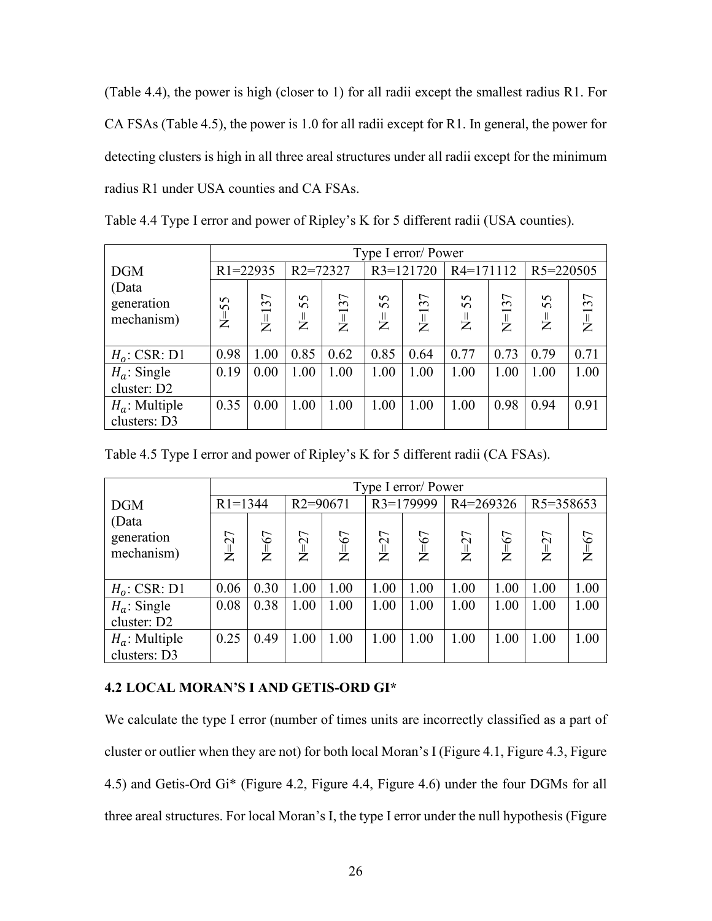(Table 4.4), the power is high (closer to 1) for all radii except the smallest radius R1. For CA FSAs (Table 4.5), the power is 1.0 for all radii except for R1. In general, the power for detecting clusters is high in all three areal structures under all radii except for the minimum radius R1 under USA counties and CA FSAs.

|                                   |              | Type I error/ Power |                       |         |              |           |                      |           |                     |         |  |
|-----------------------------------|--------------|---------------------|-----------------------|---------|--------------|-----------|----------------------|-----------|---------------------|---------|--|
| <b>DGM</b>                        | $R1 = 22935$ |                     | R <sub>2</sub> =72327 |         | $R3=121720$  |           | $R4=171112$          |           | R5=220505           |         |  |
| (Data<br>generation<br>mechanism) | $N=55$       | $N = 137$           | 55<br>$\frac{1}{2}$   | $N=137$ | 55<br>」<br>乙 | $N = 137$ | 55<br>$\overline{z}$ | $N = 137$ | 55<br>$\frac{1}{2}$ | $N=137$ |  |
| $H_o$ : CSR: D1                   | 0.98         | 1.00                | 0.85                  | 0.62    | 0.85         | 0.64      | 0.77                 | 0.73      | 0.79                | 0.71    |  |
| $H_a$ : Single<br>cluster: D2     | 0.19         | 0.00                | 1.00                  | 1.00    | 1.00         | 1.00      | 1.00                 | 1.00      | 1.00                | 1.00    |  |
| $H_a$ : Multiple<br>clusters: D3  | 0.35         | 0.00                | 1.00                  | 1.00    | 1.00         | 1.00      | 1.00                 | 0.98      | 0.94                | 0.91    |  |

Table 4.4 Type I error and power of Ripley's K for 5 different radii (USA counties).

|                                   |             | Type I error/ Power |              |        |             |        |               |        |           |        |
|-----------------------------------|-------------|---------------------|--------------|--------|-------------|--------|---------------|--------|-----------|--------|
| <b>DGM</b>                        | $R1 = 1344$ |                     | $R2 = 90671$ |        | $R3=179999$ |        | $R4 = 269326$ |        | R5=358653 |        |
| (Data<br>generation<br>mechanism) | $N=27$      | $N=67$              | $N=27$       | $N=67$ | $N=27$      | $N=67$ | $N=27$        | $N=67$ | $N=27$    | $N=67$ |
| $H_o$ : CSR: D1                   | 0.06        | 0.30                | 1.00         | 1.00   | 1.00        | 1.00   | 1.00          | 1.00   | 1.00      | 1.00   |
| $H_a$ : Single<br>cluster: D2     | 0.08        | 0.38                | 1.00         | 1.00   | 1.00        | 1.00   | 1.00          | 1.00   | 1.00      | 1.00   |
| $H_a$ : Multiple<br>clusters: D3  | 0.25        | 0.49                | 1.00         | 1.00   | 1.00        | 1.00   | 1.00          | 1.00   | 1.00      | 1.00   |

### **4.2 LOCAL MORAN'S I AND GETIS-ORD GI\***

We calculate the type I error (number of times units are incorrectly classified as a part of cluster or outlier when they are not) for both local Moran's I (Figure 4.1, Figure 4.3, Figure 4.5) and Getis-Ord Gi\* (Figure 4.2, Figure 4.4, Figure 4.6) under the four DGMs for all three areal structures. For local Moran's I, the type I error under the null hypothesis (Figure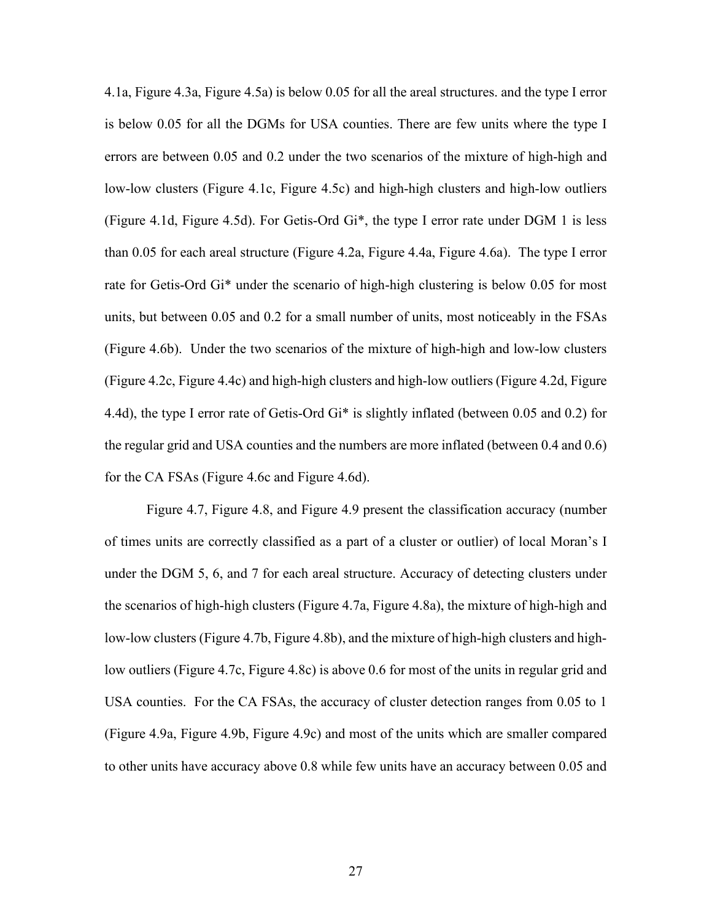4.1a, Figure 4.3a, Figure 4.5a) is below 0.05 for all the areal structures. and the type I error is below 0.05 for all the DGMs for USA counties. There are few units where the type I errors are between 0.05 and 0.2 under the two scenarios of the mixture of high-high and low-low clusters (Figure 4.1c, Figure 4.5c) and high-high clusters and high-low outliers (Figure 4.1d, Figure 4.5d). For Getis-Ord Gi\*, the type I error rate under DGM 1 is less than 0.05 for each areal structure (Figure 4.2a, Figure 4.4a, Figure 4.6a). The type I error rate for Getis-Ord Gi\* under the scenario of high-high clustering is below 0.05 for most units, but between 0.05 and 0.2 for a small number of units, most noticeably in the FSAs (Figure 4.6b). Under the two scenarios of the mixture of high-high and low-low clusters (Figure 4.2c, Figure 4.4c) and high-high clusters and high-low outliers (Figure 4.2d, Figure 4.4d), the type I error rate of Getis-Ord  $Gi^*$  is slightly inflated (between 0.05 and 0.2) for the regular grid and USA counties and the numbers are more inflated (between 0.4 and 0.6) for the CA FSAs (Figure 4.6c and Figure 4.6d).

Figure 4.7, Figure 4.8, and Figure 4.9 present the classification accuracy (number of times units are correctly classified as a part of a cluster or outlier) of local Moran's I under the DGM 5, 6, and 7 for each areal structure. Accuracy of detecting clusters under the scenarios of high-high clusters (Figure 4.7a, Figure 4.8a), the mixture of high-high and low-low clusters (Figure 4.7b, Figure 4.8b), and the mixture of high-high clusters and highlow outliers (Figure 4.7c, Figure 4.8c) is above 0.6 for most of the units in regular grid and USA counties. For the CA FSAs, the accuracy of cluster detection ranges from 0.05 to 1 (Figure 4.9a, Figure 4.9b, Figure 4.9c) and most of the units which are smaller compared to other units have accuracy above 0.8 while few units have an accuracy between 0.05 and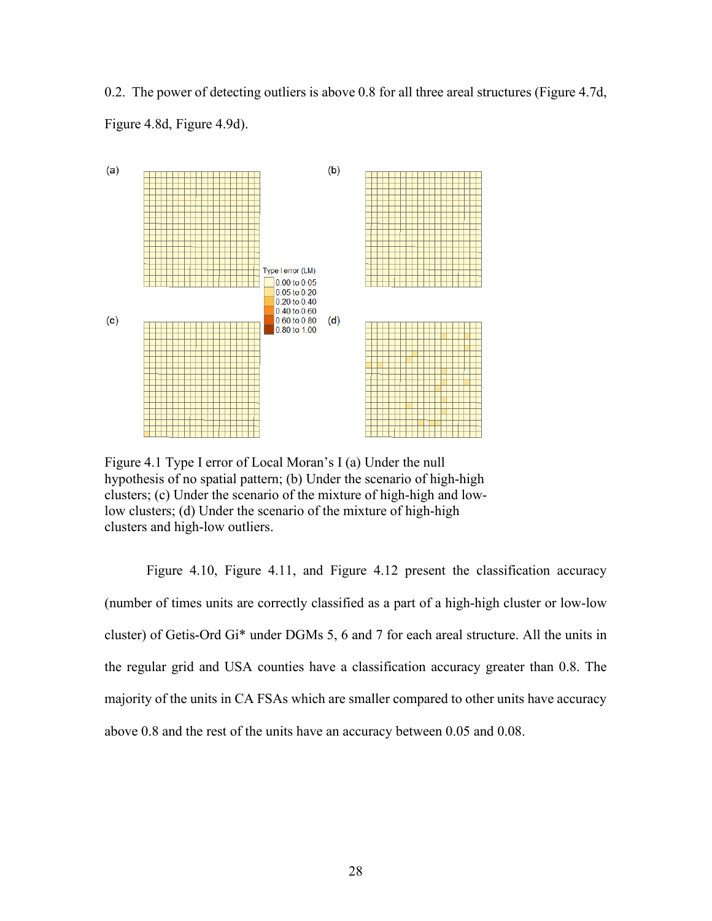0.2. The power of detecting outliers is above 0.8 for all three areal structures (Figure 4.7d, Figure 4.8d, Figure 4.9d).



Figure 4.1 Type I error of Local Moran's I (a) Under the null hypothesis of no spatial pattern; (b) Under the scenario of high-high clusters; (c) Under the scenario of the mixture of high-high and lowlow clusters; (d) Under the scenario of the mixture of high-high clusters and high-low outliers.

Figure 4.10, Figure 4.11, and Figure 4.12 present the classification accuracy (number of times units are correctly classified as a part of a high-high cluster or low-low cluster) of Getis-Ord Gi\* under DGMs 5, 6 and 7 for each areal structure. All the units in the regular grid and USA counties have a classification accuracy greater than 0.8. The majority of the units in CA FSAs which are smaller compared to other units have accuracy above 0.8 and the rest of the units have an accuracy between 0.05 and 0.08.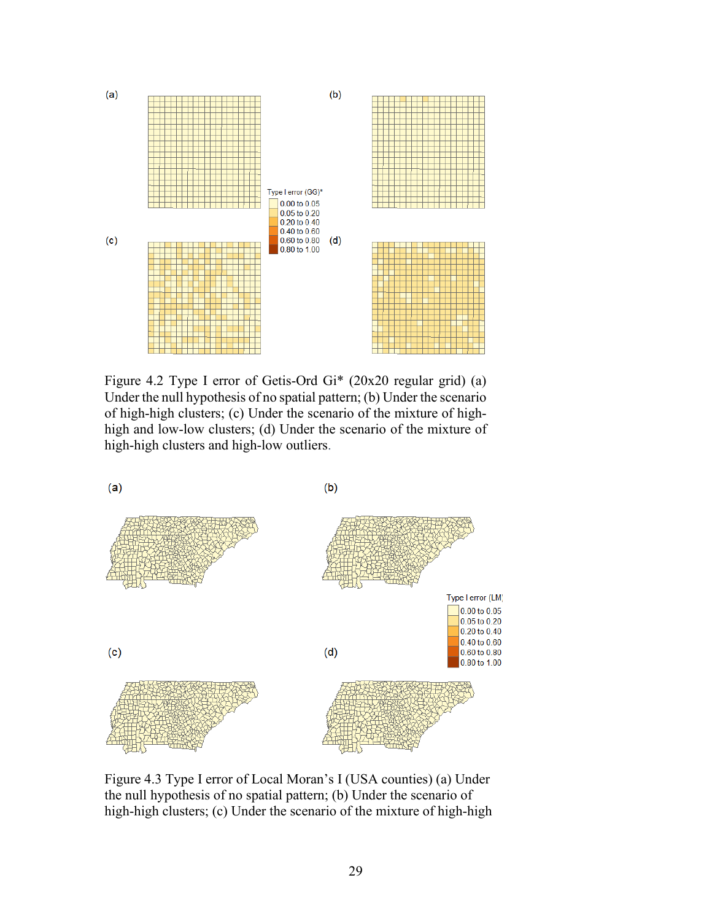

Figure 4.2 Type I error of Getis-Ord Gi\* (20x20 regular grid) (a) Under the null hypothesis of no spatial pattern; (b) Under the scenario of high-high clusters; (c) Under the scenario of the mixture of highhigh and low-low clusters; (d) Under the scenario of the mixture of high-high clusters and high-low outliers.



Figure 4.3 Type I error of Local Moran's I (USA counties) (a) Under the null hypothesis of no spatial pattern; (b) Under the scenario of high-high clusters; (c) Under the scenario of the mixture of high-high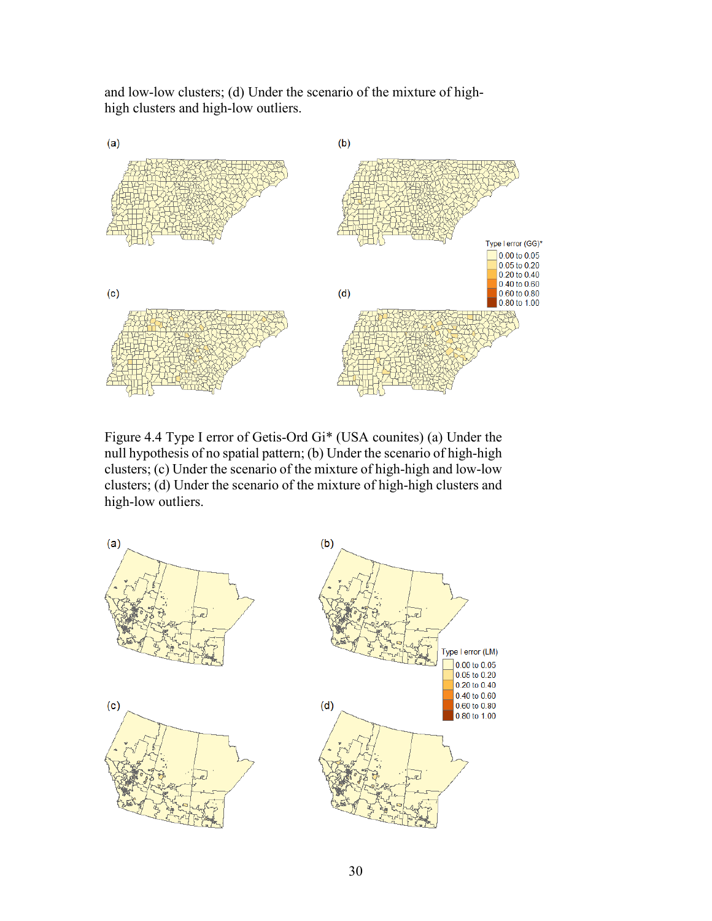and low-low clusters; (d) Under the scenario of the mixture of highhigh clusters and high-low outliers.



Figure 4.4 Type I error of Getis-Ord Gi\* (USA counites) (a) Under the null hypothesis of no spatial pattern; (b) Under the scenario of high-high clusters; (c) Under the scenario of the mixture of high-high and low-low clusters; (d) Under the scenario of the mixture of high-high clusters and high-low outliers.

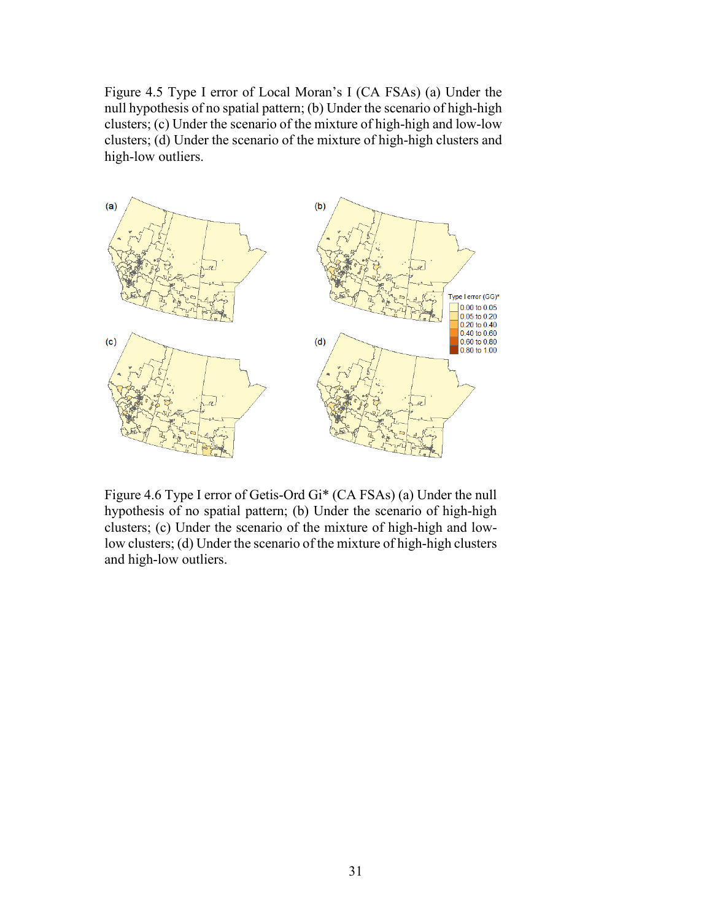Figure 4.5 Type I error of Local Moran's I (CA FSAs) (a) Under the null hypothesis of no spatial pattern; (b) Under the scenario of high-high clusters; (c) Under the scenario of the mixture of high-high and low-low clusters; (d) Under the scenario of the mixture of high-high clusters and high-low outliers.



Figure 4.6 Type I error of Getis-Ord Gi\* (CA FSAs) (a) Under the null hypothesis of no spatial pattern; (b) Under the scenario of high-high clusters; (c) Under the scenario of the mixture of high-high and lowlow clusters; (d) Under the scenario of the mixture of high-high clusters and high-low outliers.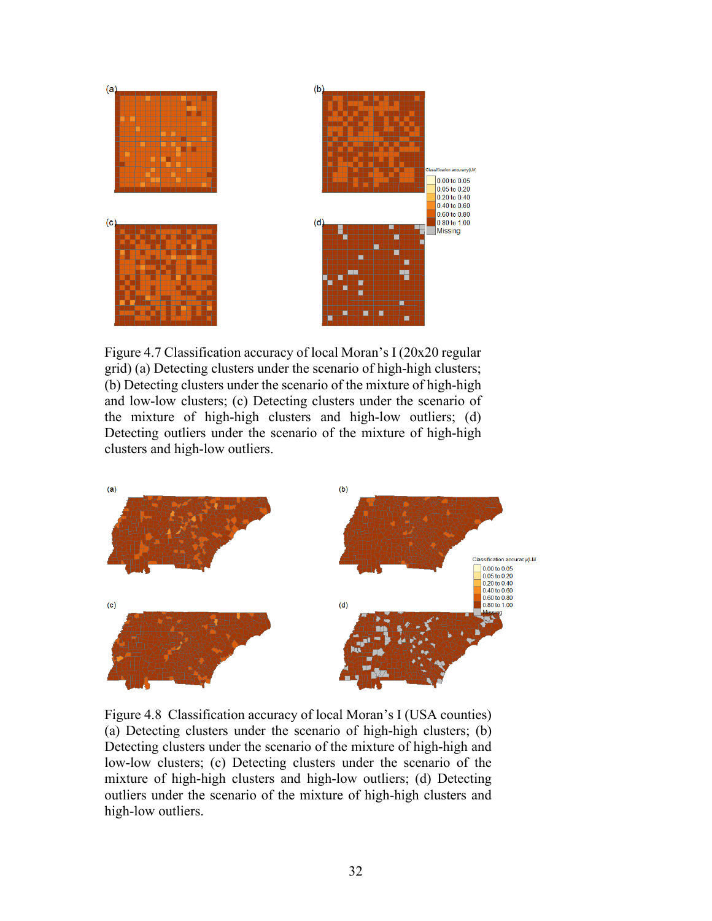

Figure 4.7 Classification accuracy of local Moran's I (20x20 regular grid) (a) Detecting clusters under the scenario of high-high clusters; (b) Detecting clusters under the scenario of the mixture of high-high and low-low clusters; (c) Detecting clusters under the scenario of the mixture of high-high clusters and high-low outliers; (d) Detecting outliers under the scenario of the mixture of high-high clusters and high-low outliers.



Figure 4.8 Classification accuracy of local Moran's I (USA counties) (a) Detecting clusters under the scenario of high-high clusters; (b) Detecting clusters under the scenario of the mixture of high-high and low-low clusters; (c) Detecting clusters under the scenario of the mixture of high-high clusters and high-low outliers; (d) Detecting outliers under the scenario of the mixture of high-high clusters and high-low outliers.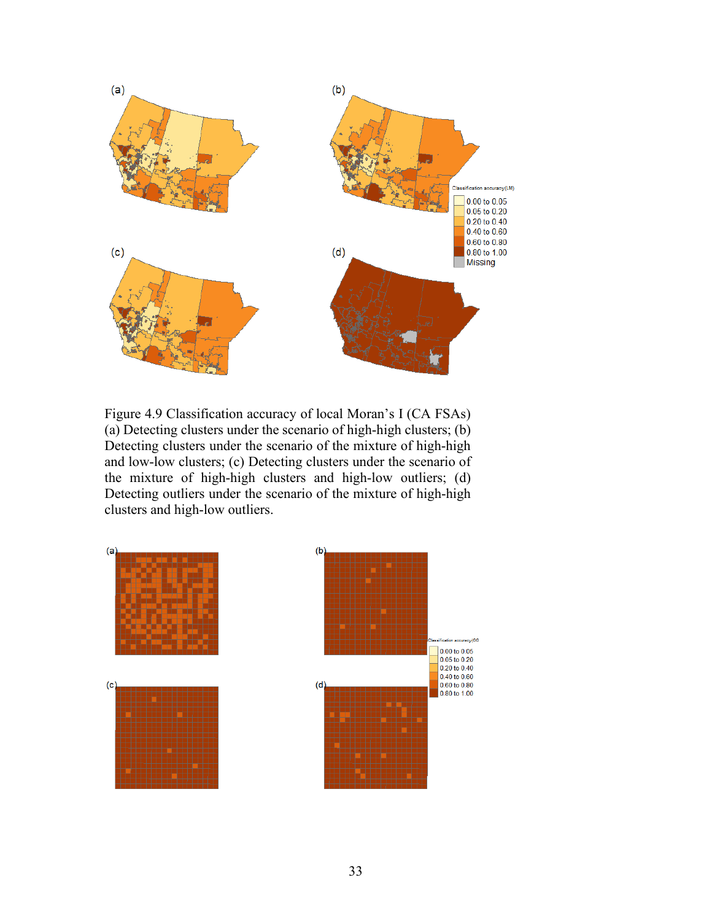

Figure 4.9 Classification accuracy of local Moran's I (CA FSAs) (a) Detecting clusters under the scenario of high-high clusters; (b) Detecting clusters under the scenario of the mixture of high-high and low-low clusters; (c) Detecting clusters under the scenario of the mixture of high-high clusters and high-low outliers; (d) Detecting outliers under the scenario of the mixture of high-high clusters and high-low outliers.

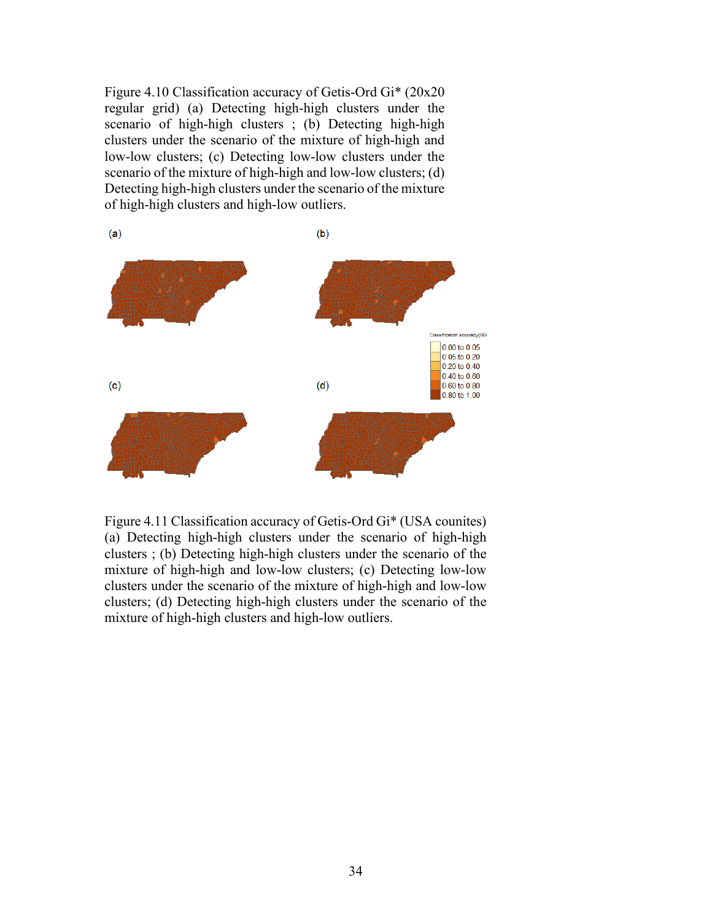Figure 4.10 Classification accuracy of Getis-Ord Gi\* (20x20 regular grid) (a) Detecting high-high clusters under the scenario of high-high clusters ; (b) Detecting high-high clusters under the scenario of the mixture of high-high and low-low clusters; (c) Detecting low-low clusters under the scenario of the mixture of high-high and low-low clusters; (d) Detecting high-high clusters under the scenario of the mixture of high-high clusters and high-low outliers.



Figure 4.11 Classification accuracy of Getis-Ord Gi\* (USA counites) (a) Detecting high-high clusters under the scenario of high-high clusters ; (b) Detecting high-high clusters under the scenario of the mixture of high-high and low-low clusters; (c) Detecting low-low clusters under the scenario of the mixture of high-high and low-low clusters; (d) Detecting high-high clusters under the scenario of the mixture of high-high clusters and high-low outliers.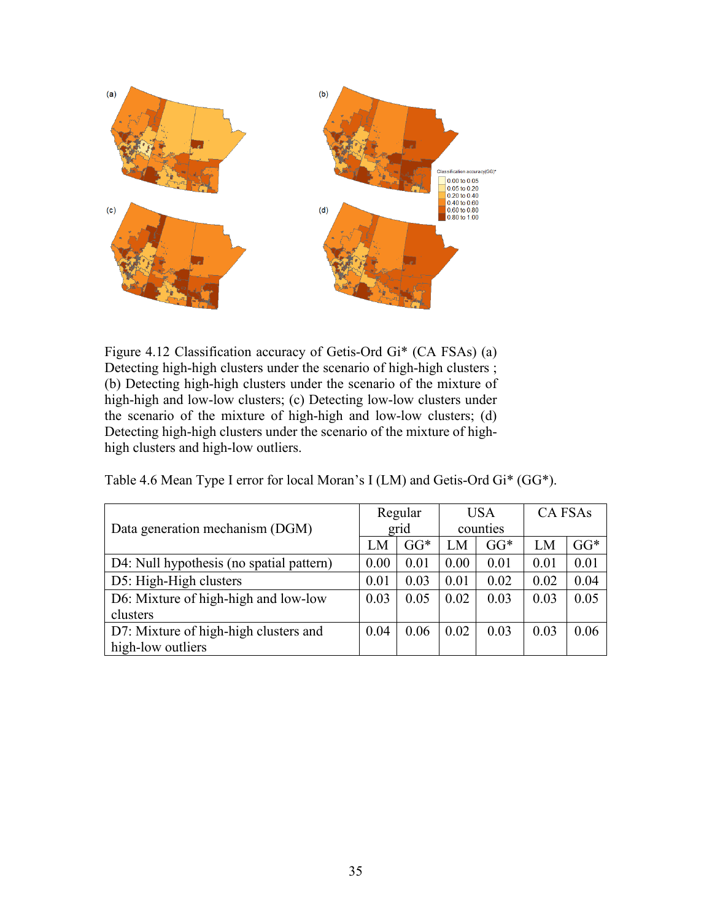

Figure 4.12 Classification accuracy of Getis-Ord Gi\* (CA FSAs) (a) Detecting high-high clusters under the scenario of high-high clusters; (b) Detecting high-high clusters under the scenario of the mixture of high-high and low-low clusters; (c) Detecting low-low clusters under the scenario of the mixture of high-high and low-low clusters; (d) Detecting high-high clusters under the scenario of the mixture of highhigh clusters and high-low outliers.

| Data generation mechanism (DGM)          |      | Regular |      | <b>USA</b> |      | <b>CA FSAs</b> |  |
|------------------------------------------|------|---------|------|------------|------|----------------|--|
|                                          |      | grid    |      | counties   |      |                |  |
|                                          | LM   | $GG*$   | LM   | $GG*$      | LM   | $GG*$          |  |
| D4: Null hypothesis (no spatial pattern) | 0.00 | 0.01    | 0.00 | 0.01       | 0.01 | 0.01           |  |
| D5: High-High clusters                   | 0.01 | 0.03    | 0.01 | 0.02       | 0.02 | 0.04           |  |
| D6: Mixture of high-high and low-low     | 0.03 | 0.05    | 0.02 | 0.03       | 0.03 | 0.05           |  |
| clusters                                 |      |         |      |            |      |                |  |
| D7: Mixture of high-high clusters and    | 0.04 | 0.06    | 0.02 | 0.03       | 0.03 | 0.06           |  |
| high-low outliers                        |      |         |      |            |      |                |  |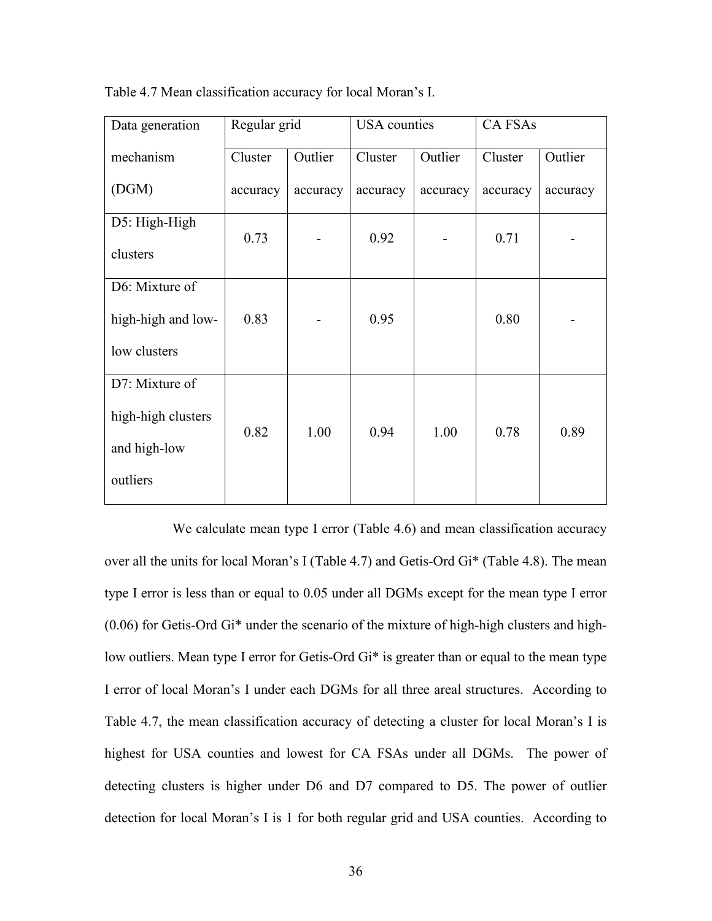| Data generation    | Regular grid |          | <b>USA</b> counties |          | <b>CA FSAs</b> |          |  |
|--------------------|--------------|----------|---------------------|----------|----------------|----------|--|
| mechanism          | Cluster      | Outlier  | Cluster             | Outlier  | Cluster        | Outlier  |  |
| (DGM)              | accuracy     | accuracy | accuracy            | accuracy | accuracy       | accuracy |  |
| D5: High-High      | 0.73         |          | 0.92                |          | 0.71           |          |  |
| clusters           |              |          |                     |          |                |          |  |
| D6: Mixture of     |              |          |                     |          |                |          |  |
| high-high and low- | 0.83         |          | 0.95                |          | 0.80           |          |  |
| low clusters       |              |          |                     |          |                |          |  |
| D7: Mixture of     |              |          |                     |          |                |          |  |
| high-high clusters | 0.82         |          |                     |          | 0.78           |          |  |
| and high-low       |              | 1.00     | 0.94                | 1.00     |                | 0.89     |  |
| outliers           |              |          |                     |          |                |          |  |

Table 4.7 Mean classification accuracy for local Moran's I.

We calculate mean type I error (Table 4.6) and mean classification accuracy over all the units for local Moran's I (Table 4.7) and Getis-Ord Gi\* (Table 4.8). The mean type I error is less than or equal to 0.05 under all DGMs except for the mean type I error (0.06) for Getis-Ord Gi\* under the scenario of the mixture of high-high clusters and highlow outliers. Mean type I error for Getis-Ord Gi<sup>\*</sup> is greater than or equal to the mean type I error of local Moran's I under each DGMs for all three areal structures. According to Table 4.7, the mean classification accuracy of detecting a cluster for local Moran's I is highest for USA counties and lowest for CA FSAs under all DGMs. The power of detecting clusters is higher under D6 and D7 compared to D5. The power of outlier detection for local Moran's I is 1 for both regular grid and USA counties. According to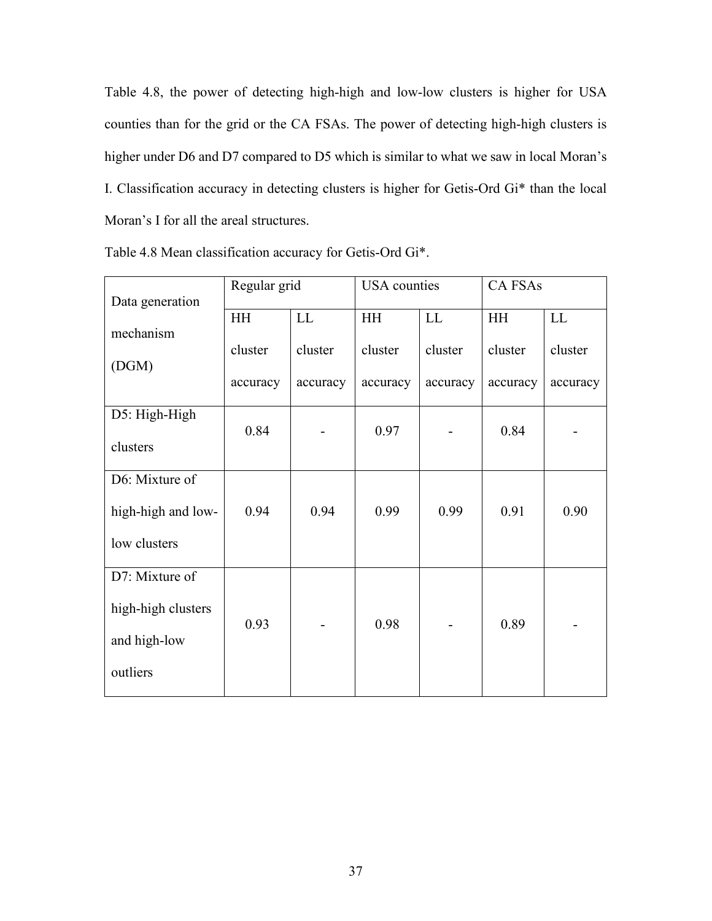Table 4.8, the power of detecting high-high and low-low clusters is higher for USA counties than for the grid or the CA FSAs. The power of detecting high-high clusters is higher under D6 and D7 compared to D5 which is similar to what we saw in local Moran's I. Classification accuracy in detecting clusters is higher for Getis-Ord Gi\* than the local Moran's I for all the areal structures.

| Data generation    | Regular grid |                            | <b>USA</b> counties |          | <b>CAFSAs</b> |          |  |
|--------------------|--------------|----------------------------|---------------------|----------|---------------|----------|--|
|                    | <b>HH</b>    | $\mathop{\rm LL}\nolimits$ | HH                  | LL       | HH            | LL       |  |
| mechanism          | cluster      | cluster                    | cluster             | cluster  | cluster       | cluster  |  |
| (DGM)              |              |                            |                     |          |               |          |  |
|                    | accuracy     | accuracy                   | accuracy            | accuracy | accuracy      | accuracy |  |
| D5: High-High      |              |                            |                     |          |               |          |  |
| clusters           | 0.84         |                            | 0.97                |          | 0.84          |          |  |
|                    |              |                            |                     |          |               |          |  |
| D6: Mixture of     |              |                            |                     |          |               |          |  |
| high-high and low- | 0.94         | 0.94                       | 0.99                | 0.99     | 0.91          | 0.90     |  |
| low clusters       |              |                            |                     |          |               |          |  |
| D7: Mixture of     |              |                            |                     |          |               |          |  |
| high-high clusters | 0.93         |                            | 0.98                |          | 0.89          |          |  |
| and high-low       |              |                            |                     |          |               |          |  |
| outliers           |              |                            |                     |          |               |          |  |

Table 4.8 Mean classification accuracy for Getis-Ord Gi\*.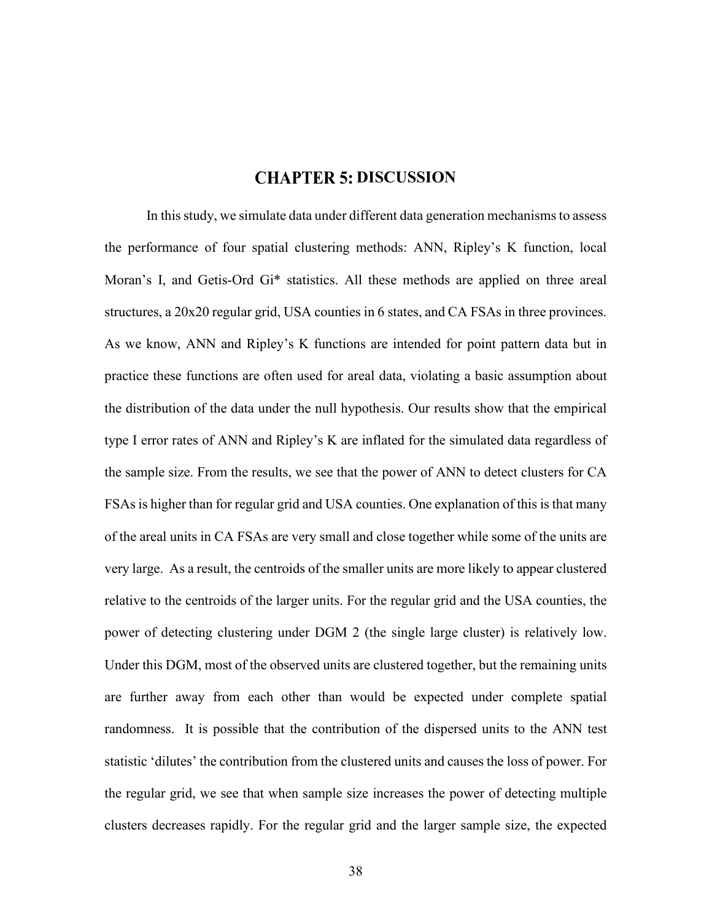## **CHAPTER 5: DISCUSSION**

In this study, we simulate data under different data generation mechanisms to assess the performance of four spatial clustering methods: ANN, Ripley's K function, local Moran's I, and Getis-Ord Gi\* statistics. All these methods are applied on three areal structures, a 20x20 regular grid, USA counties in 6 states, and CA FSAs in three provinces. As we know, ANN and Ripley's K functions are intended for point pattern data but in practice these functions are often used for areal data, violating a basic assumption about the distribution of the data under the null hypothesis. Our results show that the empirical type I error rates of ANN and Ripley's K are inflated for the simulated data regardless of the sample size. From the results, we see that the power of ANN to detect clusters for CA FSAs is higher than for regular grid and USA counties. One explanation of this is that many of the areal units in CA FSAs are very small and close together while some of the units are very large. As a result, the centroids of the smaller units are more likely to appear clustered relative to the centroids of the larger units. For the regular grid and the USA counties, the power of detecting clustering under DGM 2 (the single large cluster) is relatively low. Under this DGM, most of the observed units are clustered together, but the remaining units are further away from each other than would be expected under complete spatial randomness. It is possible that the contribution of the dispersed units to the ANN test statistic 'dilutes' the contribution from the clustered units and causes the loss of power. For the regular grid, we see that when sample size increases the power of detecting multiple clusters decreases rapidly. For the regular grid and the larger sample size, the expected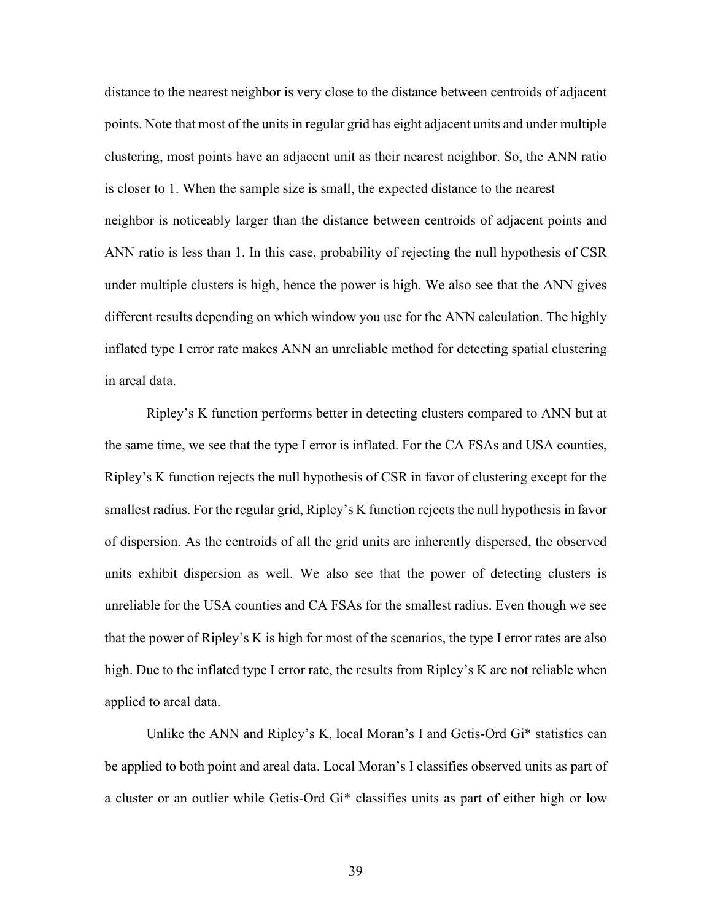distance to the nearest neighbor is very close to the distance between centroids of adjacent points. Note that most of the unitsin regular grid has eight adjacent units and under multiple clustering, most points have an adjacent unit as their nearest neighbor. So, the ANN ratio is closer to 1. When the sample size is small, the expected distance to the nearest neighbor is noticeably larger than the distance between centroids of adjacent points and ANN ratio is less than 1. In this case, probability of rejecting the null hypothesis of CSR under multiple clusters is high, hence the power is high. We also see that the ANN gives different results depending on which window you use for the ANN calculation. The highly inflated type I error rate makes ANN an unreliable method for detecting spatial clustering in areal data.

Ripley's K function performs better in detecting clusters compared to ANN but at the same time, we see that the type I error is inflated. For the CA FSAs and USA counties, Ripley's K function rejects the null hypothesis of CSR in favor of clustering except for the smallest radius. For the regular grid, Ripley's K function rejects the null hypothesis in favor of dispersion. As the centroids of all the grid units are inherently dispersed, the observed units exhibit dispersion as well. We also see that the power of detecting clusters is unreliable for the USA counties and CA FSAs for the smallest radius. Even though we see that the power of Ripley's K is high for most of the scenarios, the type I error rates are also high. Due to the inflated type I error rate, the results from Ripley's K are not reliable when applied to areal data.

Unlike the ANN and Ripley's K, local Moran's I and Getis-Ord Gi\* statistics can be applied to both point and areal data. Local Moran's I classifies observed units as part of a cluster or an outlier while Getis-Ord Gi\* classifies units as part of either high or low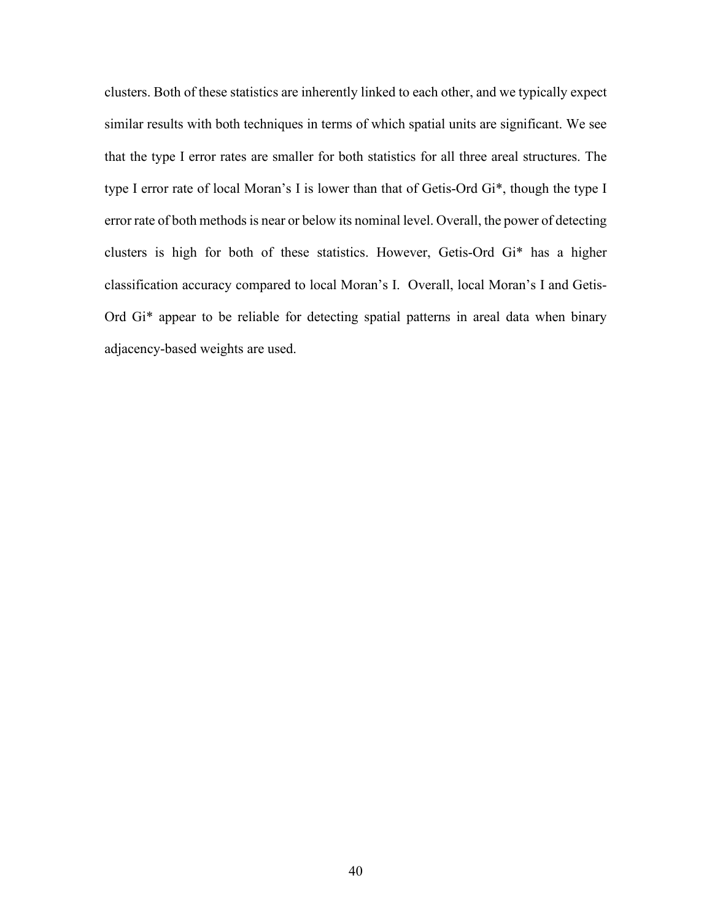clusters. Both of these statistics are inherently linked to each other, and we typically expect similar results with both techniques in terms of which spatial units are significant. We see that the type I error rates are smaller for both statistics for all three areal structures. The type I error rate of local Moran's I is lower than that of Getis-Ord Gi\*, though the type I error rate of both methods is near or below its nominal level. Overall, the power of detecting clusters is high for both of these statistics. However, Getis-Ord Gi\* has a higher classification accuracy compared to local Moran's I. Overall, local Moran's I and Getis-Ord Gi\* appear to be reliable for detecting spatial patterns in areal data when binary adjacency-based weights are used.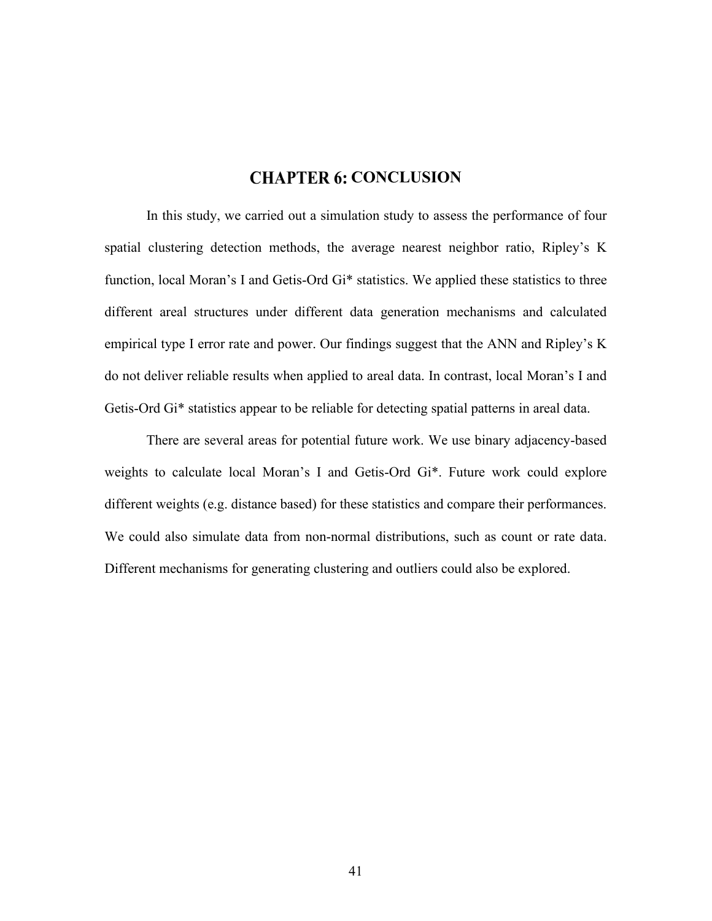## **CHAPTER 6: CONCLUSION**

In this study, we carried out a simulation study to assess the performance of four spatial clustering detection methods, the average nearest neighbor ratio, Ripley's K function, local Moran's I and Getis-Ord Gi<sup>\*</sup> statistics. We applied these statistics to three different areal structures under different data generation mechanisms and calculated empirical type I error rate and power. Our findings suggest that the ANN and Ripley's K do not deliver reliable results when applied to areal data. In contrast, local Moran's I and Getis-Ord Gi\* statistics appear to be reliable for detecting spatial patterns in areal data.

There are several areas for potential future work. We use binary adjacency-based weights to calculate local Moran's I and Getis-Ord Gi\*. Future work could explore different weights (e.g. distance based) for these statistics and compare their performances. We could also simulate data from non-normal distributions, such as count or rate data. Different mechanisms for generating clustering and outliers could also be explored.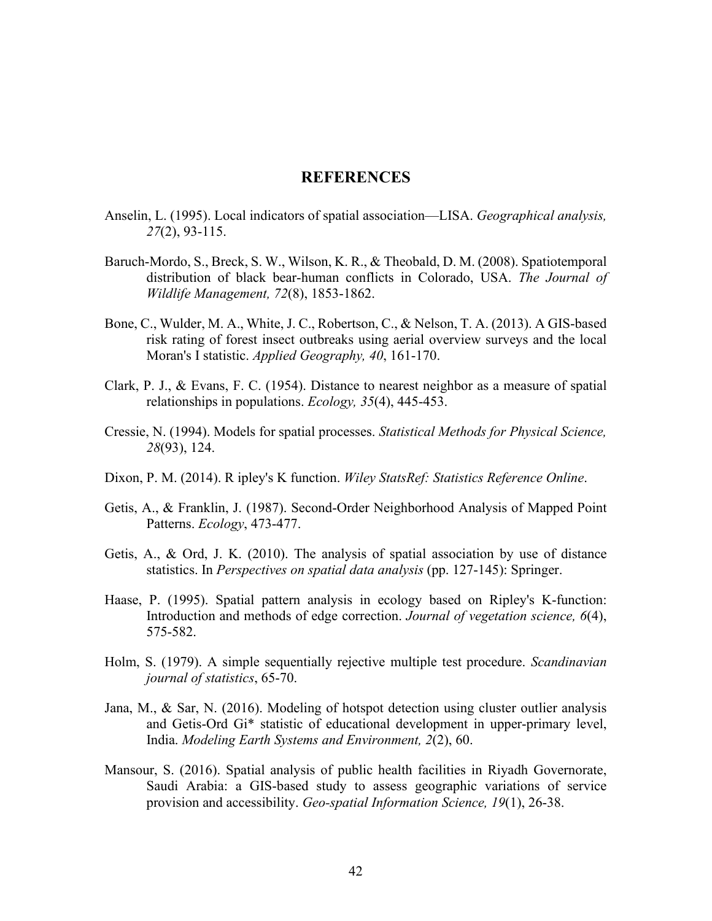### **REFERENCES**

- Anselin, L. (1995). Local indicators of spatial association—LISA. *Geographical analysis, 27*(2), 93-115.
- Baruch‐Mordo, S., Breck, S. W., Wilson, K. R., & Theobald, D. M. (2008). Spatiotemporal distribution of black bear‐human conflicts in Colorado, USA. *The Journal of Wildlife Management, 72*(8), 1853-1862.
- Bone, C., Wulder, M. A., White, J. C., Robertson, C., & Nelson, T. A. (2013). A GIS-based risk rating of forest insect outbreaks using aerial overview surveys and the local Moran's I statistic. *Applied Geography, 40*, 161-170.
- Clark, P. J., & Evans, F. C. (1954). Distance to nearest neighbor as a measure of spatial relationships in populations. *Ecology, 35*(4), 445-453.
- Cressie, N. (1994). Models for spatial processes. *Statistical Methods for Physical Science, 28*(93), 124.
- Dixon, P. M. (2014). R ipley's K function. *Wiley StatsRef: Statistics Reference Online*.
- Getis, A., & Franklin, J. (1987). Second-Order Neighborhood Analysis of Mapped Point Patterns. *Ecology*, 473-477.
- Getis, A., & Ord, J. K. (2010). The analysis of spatial association by use of distance statistics. In *Perspectives on spatial data analysis* (pp. 127-145): Springer.
- Haase, P. (1995). Spatial pattern analysis in ecology based on Ripley's K-function: Introduction and methods of edge correction. *Journal of vegetation science, 6*(4), 575-582.
- Holm, S. (1979). A simple sequentially rejective multiple test procedure. *Scandinavian journal of statistics*, 65-70.
- Jana, M., & Sar, N. (2016). Modeling of hotspot detection using cluster outlier analysis and Getis-Ord Gi\* statistic of educational development in upper-primary level, India. *Modeling Earth Systems and Environment, 2*(2), 60.
- Mansour, S. (2016). Spatial analysis of public health facilities in Riyadh Governorate, Saudi Arabia: a GIS-based study to assess geographic variations of service provision and accessibility. *Geo-spatial Information Science, 19*(1), 26-38.